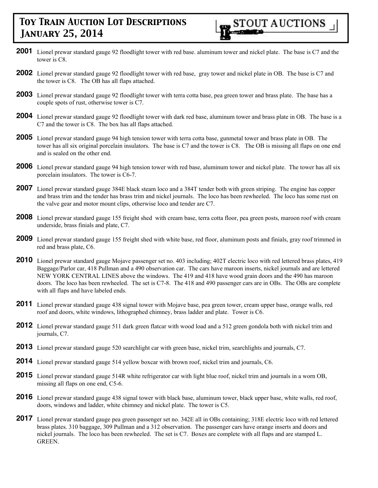**STOUT AUCTIONS** 

- **2001** Lionel prewar standard gauge 92 floodlight tower with red base. aluminum tower and nickel plate. The base is C7 and the tower is C8.
- **2002** Lionel prewar standard gauge 92 floodlight tower with red base, gray tower and nickel plate in OB. The base is C7 and the tower is C8. The OB has all flaps attached.
- **2003** Lionel prewar standard gauge 92 floodlight tower with terra cotta base, pea green tower and brass plate. The base has a couple spots of rust, otherwise tower is C7.
- **2004** Lionel prewar standard gauge 92 floodlight tower with dark red base, aluminum tower and brass plate in OB. The base is a C7 and the tower is C8. The box has all flaps attached.
- **2005** Lionel prewar standard gauge 94 high tension tower with terra cotta base, gunmetal tower and brass plate in OB. The tower has all six original porcelain insulators. The base is C7 and the tower is C8. The OB is missing all flaps on one end and is sealed on the other end.
- **2006** Lionel prewar standard gauge 94 high tension tower with red base, aluminum tower and nickel plate. The tower has all six porcelain insulators. The tower is C6-7.
- **2007** Lionel prewar standard gauge 384E black steam loco and a 384T tender both with green striping. The engine has copper and brass trim and the tender has brass trim and nickel journals. The loco has been rewheeled. The loco has some rust on the valve gear and motor mount clips, otherwise loco and tender are C7.
- **2008** Lionel prewar standard gauge 155 freight shed with cream base, terra cotta floor, pea green posts, maroon roof with cream underside, brass finials and plate, C7.
- **2009** Lionel prewar standard gauge 155 freight shed with white base, red floor, aluminum posts and finials, gray roof trimmed in red and brass plate, C6.
- **2010** Lionel prewar standard gauge Mojave passenger set no. 403 including; 402T electric loco with red lettered brass plates, 419 Baggage/Parlor car, 418 Pullman and a 490 observation car. The cars have maroon inserts, nickel journals and are lettered NEW YORK CENTRAL LINES above the windows. The 419 and 418 have wood grain doors and the 490 has maroon doors. The loco has been rewheeled. The set is C7-8. The 418 and 490 passenger cars are in OBs. The OBs are complete with all flaps and have labeled ends.
- **2011** Lionel prewar standard gauge 438 signal tower with Mojave base, pea green tower, cream upper base, orange walls, red roof and doors, white windows, lithographed chimney, brass ladder and plate. Tower is C6.
- **2012** Lionel prewar standard gauge 511 dark green flatcar with wood load and a 512 green gondola both with nickel trim and journals, C7.
- **2013** Lionel prewar standard gauge 520 searchlight car with green base, nickel trim, searchlights and journals, C7.
- **2014** Lionel prewar standard gauge 514 yellow boxcar with brown roof, nickel trim and journals, C6.
- **2015** Lionel prewar standard gauge 514R white refrigerator car with light blue roof, nickel trim and journals in a worn OB, missing all flaps on one end, C5-6.
- **2016** Lionel prewar standard gauge 438 signal tower with black base, aluminum tower, black upper base, white walls, red roof, doors, windows and ladder, white chimney and nickel plate. The tower is C5.
- **2017** Lionel prewar standard gauge pea green passenger set no. 342E all in OBs containing; 318E electric loco with red lettered brass plates. 310 baggage, 309 Pullman and a 312 observation. The passenger cars have orange inserts and doors and nickel journals. The loco has been rewheeled. The set is C7. Boxes are complete with all flaps and are stamped L. GREEN.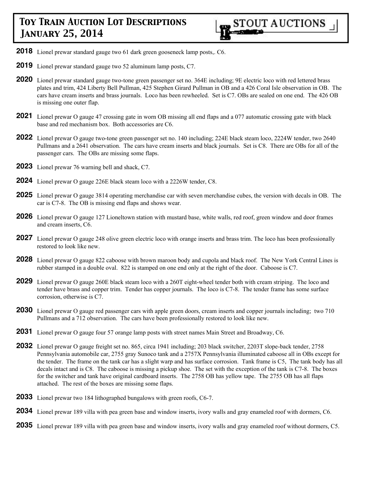

- **2018** Lionel prewar standard gauge two 61 dark green gooseneck lamp posts,. C6.
- **2019** Lionel prewar standard gauge two 52 aluminum lamp posts, C7.
- **2020** Lionel prewar standard gauge two-tone green passenger set no. 364E including; 9E electric loco with red lettered brass plates and trim, 424 Liberty Bell Pullman, 425 Stephen Girard Pullman in OB and a 426 Coral Isle observation in OB. The cars have cream inserts and brass journals. Loco has been rewheeled. Set is C7. OBs are sealed on one end. The 426 OB is missing one outer flap.
- **2021** Lionel prewar O gauge 47 crossing gate in worn OB missing all end flaps and a 077 automatic crossing gate with black base and red mechanism box. Both accessories are C6.
- **2022** Lionel prewar O gauge two-tone green passenger set no. 140 including; 224E black steam loco, 2224W tender, two 2640 Pullmans and a 2641 observation. The cars have cream inserts and black journals. Set is C8. There are OBs for all of the passenger cars. The OBs are missing some flaps.
- **2023** Lionel prewar 76 warning bell and shack, C7.
- **2024** Lionel prewar O gauge 226E black steam loco with a 2226W tender, C8.
- **2025** Lionel prewar O gauge 3814 operating merchandise car with seven merchandise cubes, the version with decals in OB. The car is C7-8. The OB is missing end flaps and shows wear.
- **2026** Lionel prewar O gauge 127 Lioneltown station with mustard base, white walls, red roof, green window and door frames and cream inserts, C6.
- **2027** Lionel prewar O gauge 248 olive green electric loco with orange inserts and brass trim. The loco has been professionally restored to look like new.
- **2028** Lionel prewar O gauge 822 caboose with brown maroon body and cupola and black roof. The New York Central Lines is rubber stamped in a double oval. 822 is stamped on one end only at the right of the door. Caboose is C7.
- **2029** Lionel prewar O gauge 260E black steam loco with a 260T eight-wheel tender both with cream striping. The loco and tender have brass and copper trim. Tender has copper journals. The loco is C7-8. The tender frame has some surface corrosion, otherwise is C7.
- **2030** Lionel prewar O gauge red passenger cars with apple green doors, cream inserts and copper journals including; two 710 Pullmans and a 712 observation. The cars have been professionally restored to look like new.
- **2031** Lionel prewar O gauge four 57 orange lamp posts with street names Main Street and Broadway, C6.
- **2032** Lionel prewar O gauge freight set no. 865, circa 1941 including; 203 black switcher, 2203T slope-back tender, 2758 Pennsylvania automobile car, 2755 gray Sunoco tank and a 2757X Pennsylvania illuminated caboose all in OBs except for the tender. The frame on the tank car has a slight warp and has surface corrosion. Tank frame is C5, The tank body has all decals intact and is C8. The caboose is missing a pickup shoe. The set with the exception of the tank is C7-8. The boxes for the switcher and tank have original cardboard inserts. The 2758 OB has yellow tape. The 2755 OB has all flaps attached. The rest of the boxes are missing some flaps.
- **2033** Lionel prewar two 184 lithographed bungalows with green roofs, C6-7.
- **2034** Lionel prewar 189 villa with pea green base and window inserts, ivory walls and gray enameled roof with dormers, C6.
- **2035** Lionel prewar 189 villa with pea green base and window inserts, ivory walls and gray enameled roof without dormers, C5.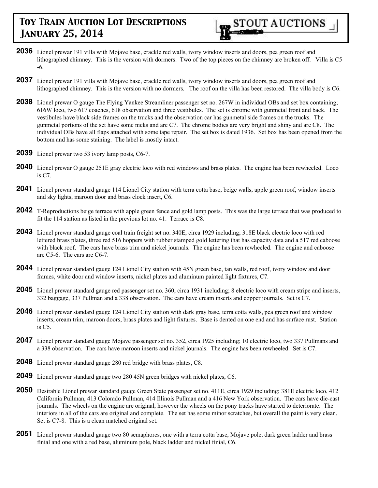

- **2036** Lionel prewar 191 villa with Mojave base, crackle red walls, ivory window inserts and doors, pea green roof and lithographed chimney. This is the version with dormers. Two of the top pieces on the chimney are broken off. Villa is C5 -6.
- **2037** Lionel prewar 191 villa with Mojave base, crackle red walls, ivory window inserts and doors, pea green roof and lithographed chimney. This is the version with no dormers. The roof on the villa has been restored. The villa body is C6.
- **2038** Lionel prewar O gauge The Flying Yankee Streamliner passenger set no. 267W in individual OBs and set box containing; 616W loco, two 617 coaches, 618 observation and three vestibules. The set is chrome with gunmetal front and back. The vestibules have black side frames on the trucks and the observation car has gunmetal side frames on the trucks. The gunmetal portions of the set have some nicks and are C7. The chrome bodies are very bright and shiny and are C8. The individual OBs have all flaps attached with some tape repair. The set box is dated 1936. Set box has been opened from the bottom and has some staining. The label is mostly intact.
- **2039** Lionel prewar two 53 ivory lamp posts, C6-7.
- **2040** Lionel prewar O gauge 251E gray electric loco with red windows and brass plates. The engine has been rewheeled. Loco is C7.
- **2041** Lionel prewar standard gauge 114 Lionel City station with terra cotta base, beige walls, apple green roof, window inserts and sky lights, maroon door and brass clock insert, C6.
- **2042** T-Reproductions beige terrace with apple green fence and gold lamp posts. This was the large terrace that was produced to fit the 114 station as listed in the previous lot no. 41. Terrace is C8.
- **2043** Lionel prewar standard gauge coal train freight set no. 340E, circa 1929 including; 318E black electric loco with red lettered brass plates, three red 516 hoppers with rubber stamped gold lettering that has capacity data and a 517 red caboose with black roof. The cars have brass trim and nickel journals. The engine has been rewheeled. The engine and caboose are C5-6. The cars are C6-7.
- **2044** Lionel prewar standard gauge 124 Lionel City station with 45N green base, tan walls, red roof, ivory window and door frames, white door and window inserts, nickel plates and aluminum painted light fixtures, C7.
- **2045** Lionel prewar standard gauge red passenger set no. 360, circa 1931 including; 8 electric loco with cream stripe and inserts, 332 baggage, 337 Pullman and a 338 observation. The cars have cream inserts and copper journals. Set is C7.
- **2046** Lionel prewar standard gauge 124 Lionel City station with dark gray base, terra cotta walls, pea green roof and window inserts, cream trim, maroon doors, brass plates and light fixtures. Base is dented on one end and has surface rust. Station is C5.
- **2047** Lionel prewar standard gauge Mojave passenger set no. 352, circa 1925 including; 10 electric loco, two 337 Pullmans and a 338 observation. The cars have maroon inserts and nickel journals. The engine has been rewheeled. Set is C7.
- **2048** Lionel prewar standard gauge 280 red bridge with brass plates, C8.
- **2049** Lionel prewar standard gauge two 280 45N green bridges with nickel plates, C6.
- **2050** Desirable Lionel prewar standard gauge Green State passenger set no. 411E, circa 1929 including; 381E electric loco, 412 California Pullman, 413 Colorado Pullman, 414 Illinois Pullman and a 416 New York observation. The cars have die-cast journals. The wheels on the engine are original, however the wheels on the pony trucks have started to deteriorate. The interiors in all of the cars are original and complete. The set has some minor scratches, but overall the paint is very clean. Set is C7-8. This is a clean matched original set.
- **2051** Lionel prewar standard gauge two 80 semaphores, one with a terra cotta base, Mojave pole, dark green ladder and brass finial and one with a red base, aluminum pole, black ladder and nickel finial, C6.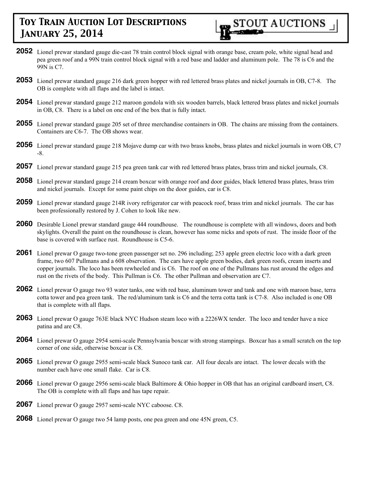**2052** Lionel prewar standard gauge die-cast 78 train control block signal with orange base, cream pole, white signal head and pea green roof and a 99N train control block signal with a red base and ladder and aluminum pole. The 78 is C6 and the 99N is C7.

**STOUT AUCTIONS** 

- **2053** Lionel prewar standard gauge 216 dark green hopper with red lettered brass plates and nickel journals in OB, C7-8. The OB is complete with all flaps and the label is intact.
- **2054** Lionel prewar standard gauge 212 maroon gondola with six wooden barrels, black lettered brass plates and nickel journals in OB, C8. There is a label on one end of the box that is fully intact.
- **2055** Lionel prewar standard gauge 205 set of three merchandise containers in OB. The chains are missing from the containers. Containers are C6-7. The OB shows wear.
- **2056** Lionel prewar standard gauge 218 Mojave dump car with two brass knobs, brass plates and nickel journals in worn OB, C7 -8.
- **2057** Lionel prewar standard gauge 215 pea green tank car with red lettered brass plates, brass trim and nickel journals, C8.
- **2058** Lionel prewar standard gauge 214 cream boxcar with orange roof and door guides, black lettered brass plates, brass trim and nickel journals. Except for some paint chips on the door guides, car is C8.
- **2059** Lionel prewar standard gauge 214R ivory refrigerator car with peacock roof, brass trim and nickel journals. The car has been professionally restored by J. Cohen to look like new.
- **2060** Desirable Lionel prewar standard gauge 444 roundhouse. The roundhouse is complete with all windows, doors and both skylights. Overall the paint on the roundhouse is clean, however has some nicks and spots of rust. The inside floor of the base is covered with surface rust. Roundhouse is C5-6.
- **2061** Lionel prewar O gauge two-tone green passenger set no. 296 including; 253 apple green electric loco with a dark green frame, two 607 Pullmans and a 608 observation. The cars have apple green bodies, dark green roofs, cream inserts and copper journals. The loco has been rewheeled and is C6. The roof on one of the Pullmans has rust around the edges and rust on the rivets of the body. This Pullman is C6. The other Pullman and observation are C7.
- **2062** Lionel prewar O gauge two 93 water tanks, one with red base, aluminum tower and tank and one with maroon base, terra cotta tower and pea green tank. The red/aluminum tank is C6 and the terra cotta tank is C7-8. Also included is one OB that is complete with all flaps.
- **2063** Lionel prewar O gauge 763E black NYC Hudson steam loco with a 2226WX tender. The loco and tender have a nice patina and are C8.
- **2064** Lionel prewar O gauge 2954 semi-scale Pennsylvania boxcar with strong stampings. Boxcar has a small scratch on the top corner of one side, otherwise boxcar is C8.
- **2065** Lionel prewar O gauge 2955 semi-scale black Sunoco tank car. All four decals are intact. The lower decals with the number each have one small flake. Car is C8.
- **2066** Lionel prewar O gauge 2956 semi-scale black Baltimore & Ohio hopper in OB that has an original cardboard insert, C8. The OB is complete with all flaps and has tape repair.
- **2067** Lionel prewar O gauge 2957 semi-scale NYC caboose. C8.
- **2068** Lionel prewar O gauge two 54 lamp posts, one pea green and one 45N green, C5.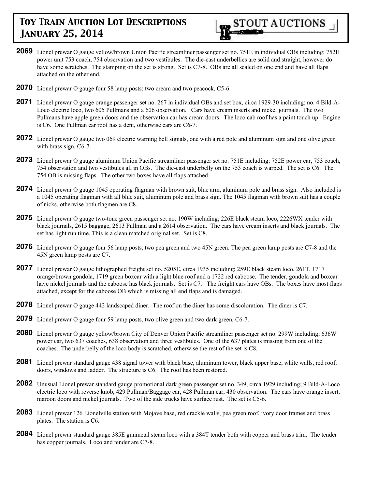

- **2069** Lionel prewar O gauge yellow/brown Union Pacific streamliner passenger set no. 751E in individual OBs including; 752E power unit 753 coach, 754 observation and two vestibules. The die-cast underbellies are solid and straight, however do have some scratches. The stamping on the set is strong. Set is C7-8. OBs are all sealed on one end and have all flaps attached on the other end.
- **2070** Lionel prewar O gauge four 58 lamp posts; two cream and two peacock, C5-6.
- **2071** Lionel prewar O gauge orange passenger set no. 267 in individual OBs and set box, circa 1929-30 including; no. 4 Bild-A-Loco electric loco, two 605 Pullmans and a 606 observation. Cars have cream inserts and nickel journals. The two Pullmans have apple green doors and the observation car has cream doors. The loco cab roof has a paint touch up. Engine is C6. One Pullman car roof has a dent, otherwise cars are C6-7.
- **2072** Lionel prewar O gauge two 069 electric warning bell signals, one with a red pole and aluminum sign and one olive green with brass sign, C6-7.
- **2073** Lionel prewar O gauge aluminum Union Pacific streamliner passenger set no. 751E including; 752E power car, 753 coach, 754 observation and two vestibules all in OBs. The die-cast underbelly on the 753 coach is warped. The set is C6. The 754 OB is missing flaps. The other two boxes have all flaps attached.
- **2074** Lionel prewar O gauge 1045 operating flagman with brown suit, blue arm, aluminum pole and brass sign. Also included is a 1045 operating flagman with all blue suit, aluminum pole and brass sign. The 1045 flagman with brown suit has a couple of nicks, otherwise both flagmen are C8.
- **2075** Lionel prewar O gauge two-tone green passenger set no. 190W including; 226E black steam loco, 2226WX tender with black journals, 2615 baggage, 2613 Pullman and a 2614 observation. The cars have cream inserts and black journals. The set has light run time. This is a clean matched original set. Set is C8.
- **2076** Lionel prewar O gauge four 56 lamp posts, two pea green and two 45N green. The pea green lamp posts are C7-8 and the 45N green lamp posts are C7.
- **2077** Lionel prewar O gauge lithographed freight set no. 5205E, circa 1935 including; 259E black steam loco, 261T, 1717 orange/brown gondola, 1719 green boxcar with a light blue roof and a 1722 red caboose. The tender, gondola and boxcar have nickel journals and the caboose has black journals. Set is C7. The freight cars have OBs. The boxes have most flaps attached, except for the caboose OB which is missing all end flaps and is damaged.
- **2078** Lionel prewar O gauge 442 landscaped diner. The roof on the diner has some discoloration. The diner is C7.
- **2079** Lionel prewar O gauge four 59 lamp posts, two olive green and two dark green, C6-7.
- **2080** Lionel prewar O gauge yellow/brown City of Denver Union Pacific streamliner passenger set no. 299W including; 636W power car, two 637 coaches, 638 observation and three vestibules. One of the 637 plates is missing from one of the coaches. The underbelly of the loco body is scratched, otherwise the rest of the set is C8.
- **2081** Lionel prewar standard gauge 438 signal tower with black base, aluminum tower, black upper base, white walls, red roof, doors, windows and ladder. The structure is C6. The roof has been restored.
- **2082** Unusual Lionel prewar standard gauge promotional dark green passenger set no. 349, circa 1929 including; 9 Bild-A-Loco electric loco with reverse knob, 429 Pullman/Baggage car, 428 Pullman car, 430 observation. The cars have orange insert, maroon doors and nickel journals. Two of the side trucks have surface rust. The set is C5-6.
- **2083** Lionel prewar 126 Lionelville station with Mojave base, red crackle walls, pea green roof, ivory door frames and brass plates. The station is C6.
- **2084** Lionel prewar standard gauge 385E gunmetal steam loco with a 384T tender both with copper and brass trim. The tender has copper journals. Loco and tender are C7-8.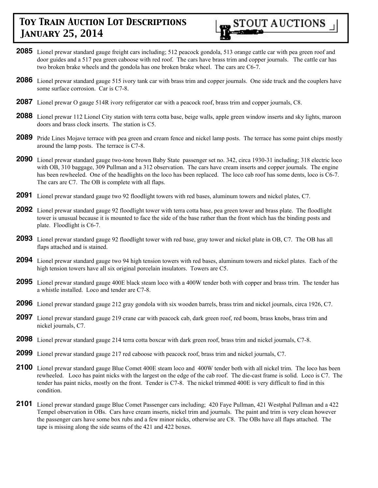

- **2085** Lionel prewar standard gauge freight cars including; 512 peacock gondola, 513 orange cattle car with pea green roof and door guides and a 517 pea green caboose with red roof. The cars have brass trim and copper journals. The cattle car has two broken brake wheels and the gondola has one broken brake wheel. The cars are C6-7.
- **2086** Lionel prewar standard gauge 515 ivory tank car with brass trim and copper journals. One side truck and the couplers have some surface corrosion. Car is C7-8.
- **2087** Lionel prewar O gauge 514R ivory refrigerator car with a peacock roof, brass trim and copper journals, C8.
- **2088** Lionel prewar 112 Lionel City station with terra cotta base, beige walls, apple green window inserts and sky lights, maroon doors and brass clock inserts. The station is C5.
- **2089** Pride Lines Mojave terrace with pea green and cream fence and nickel lamp posts. The terrace has some paint chips mostly around the lamp posts. The terrace is C7-8.
- **2090** Lionel prewar standard gauge two-tone brown Baby State passenger set no. 342, circa 1930-31 including; 318 electric loco with OB, 310 baggage, 309 Pullman and a 312 observation. The cars have cream inserts and copper journals. The engine has been rewheeled. One of the headlights on the loco has been replaced. The loco cab roof has some dents, loco is C6-7. The cars are C7. The OB is complete with all flaps.
- **2091** Lionel prewar standard gauge two 92 floodlight towers with red bases, aluminum towers and nickel plates, C7.
- **2092** Lionel prewar standard gauge 92 floodlight tower with terra cotta base, pea green tower and brass plate. The floodlight tower is unusual because it is mounted to face the side of the base rather than the front which has the binding posts and plate. Floodlight is C6-7.
- **2093** Lionel prewar standard gauge 92 floodlight tower with red base, gray tower and nickel plate in OB, C7. The OB has all flaps attached and is stained.
- **2094** Lionel prewar standard gauge two 94 high tension towers with red bases, aluminum towers and nickel plates. Each of the high tension towers have all six original porcelain insulators. Towers are C5.
- **2095** Lionel prewar standard gauge 400E black steam loco with a 400W tender both with copper and brass trim. The tender has a whistle installed. Loco and tender are C7-8.
- **2096** Lionel prewar standard gauge 212 gray gondola with six wooden barrels, brass trim and nickel journals, circa 1926, C7.
- **2097** Lionel prewar standard gauge 219 crane car with peacock cab, dark green roof, red boom, brass knobs, brass trim and nickel journals, C7.
- **2098** Lionel prewar standard gauge 214 terra cotta boxcar with dark green roof, brass trim and nickel journals, C7-8.
- **2099** Lionel prewar standard gauge 217 red caboose with peacock roof, brass trim and nickel journals, C7.
- **2100** Lionel prewar standard gauge Blue Comet 400E steam loco and 400W tender both with all nickel trim. The loco has been rewheeled. Loco has paint nicks with the largest on the edge of the cab roof. The die-cast frame is solid. Loco is C7. The tender has paint nicks, mostly on the front. Tender is C7-8. The nickel trimmed 400E is very difficult to find in this condition.
- **2101** Lionel prewar standard gauge Blue Comet Passenger cars including; 420 Faye Pullman, 421 Westphal Pullman and a 422 Tempel observation in OBs. Cars have cream inserts, nickel trim and journals. The paint and trim is very clean however the passenger cars have some box rubs and a few minor nicks, otherwise are C8. The OBs have all flaps attached. The tape is missing along the side seams of the 421 and 422 boxes.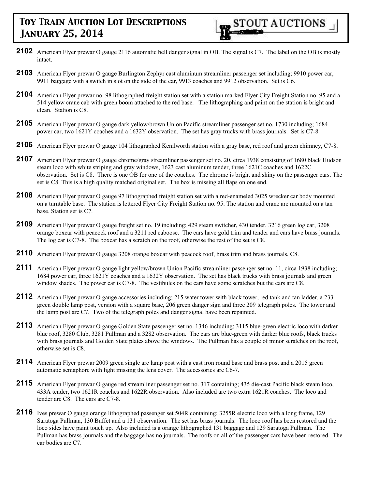

- **2102** American Flyer prewar O gauge 2116 automatic bell danger signal in OB. The signal is C7. The label on the OB is mostly intact.
- **2103** American Flyer prewar O gauge Burlington Zephyr cast aluminum streamliner passenger set including; 9910 power car, 9911 baggage with a switch in slot on the side of the car, 9913 coaches and 9912 observation. Set is C6.
- **2104** American Flyer prewar no. 98 lithographed freight station set with a station marked Flyer City Freight Station no. 95 and a 514 yellow crane cab with green boom attached to the red base. The lithographing and paint on the station is bright and clean. Station is C8.
- **2105** American Flyer prewar O gauge dark yellow/brown Union Pacific streamliner passenger set no. 1730 including; 1684 power car, two 1621Y coaches and a 1632Y observation. The set has gray trucks with brass journals. Set is C7-8.
- **2106** American Flyer prewar O gauge 104 lithographed Kenilworth station with a gray base, red roof and green chimney, C7-8.
- **2107** American Flyer prewar O gauge chrome/gray streamliner passenger set no. 20, circa 1938 consisting of 1680 black Hudson steam loco with white striping and gray windows, 1623 cast aluminum tender, three 1621C coaches and 1622C observation. Set is C8. There is one OB for one of the coaches. The chrome is bright and shiny on the passenger cars. The set is C8. This is a high quality matched original set. The box is missing all flaps on one end.
- **2108** American Flyer prewar O gauge 97 lithographed freight station set with a red-enameled 3025 wrecker car body mounted on a turntable base. The station is lettered Flyer City Freight Station no. 95. The station and crane are mounted on a tan base. Station set is C7.
- **2109** American Flyer prewar O gauge freight set no. 19 including; 429 steam switcher, 430 tender, 3216 green log car, 3208 orange boxcar with peacock roof and a 3211 red caboose. The cars have gold trim and tender and cars have brass journals. The log car is C7-8. The boxcar has a scratch on the roof, otherwise the rest of the set is C8.
- **2110** American Flyer prewar O gauge 3208 orange boxcar with peacock roof, brass trim and brass journals, C8.
- **2111** American Flyer prewar O gauge light yellow/brown Union Pacific streamliner passenger set no. 11, circa 1938 including; 1684 power car, three 1621Y coaches and a 1632Y observation. The set has black trucks with brass journals and green window shades. The power car is C7-8. The vestibules on the cars have some scratches but the cars are C8.
- **2112** American Flyer prewar O gauge accessories including; 215 water tower with black tower, red tank and tan ladder, a 233 green double lamp post, version with a square base, 206 green danger sign and three 209 telegraph poles. The tower and the lamp post are C7. Two of the telegraph poles and danger signal have been repainted.
- **2113** American Flyer prewar O gauge Golden State passenger set no. 1346 including; 3115 blue-green electric loco with darker blue roof, 3280 Club, 3281 Pullman and a 3282 observation. The cars are blue-green with darker blue roofs, black trucks with brass journals and Golden State plates above the windows. The Pullman has a couple of minor scratches on the roof, otherwise set is C8.
- **2114** American Flyer prewar 2009 green single arc lamp post with a cast iron round base and brass post and a 2015 green automatic semaphore with light missing the lens cover. The accessories are C6-7.
- **2115** American Flyer prewar O gauge red streamliner passenger set no. 317 containing; 435 die-cast Pacific black steam loco, 433A tender, two 1621R coaches and 1622R observation. Also included are two extra 1621R coaches. The loco and tender are C8. The cars are C7-8.
- **2116** Ives prewar O gauge orange lithographed passenger set 504R containing; 3255R electric loco with a long frame, 129 Saratoga Pullman, 130 Buffet and a 131 observation. The set has brass journals. The loco roof has been restored and the loco sides have paint touch up. Also included is a orange lithographed 131 baggage and 129 Saratoga Pullman. The Pullman has brass journals and the baggage has no journals. The roofs on all of the passenger cars have been restored. The car bodies are C7.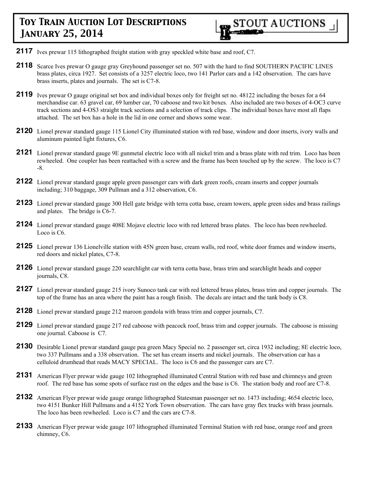- **2117** Ives prewar 115 lithographed freight station with gray speckled white base and roof, C7.
- 2118 Scarce Ives prewar O gauge gray Greyhound passenger set no. 507 with the hard to find SOUTHERN PACIFIC LINES brass plates, circa 1927. Set consists of a 3257 electric loco, two 141 Parlor cars and a 142 observation. The cars have brass inserts, plates and journals. The set is C7-8.
- **2119** Ives prewar O gauge original set box and individual boxes only for freight set no. 48122 including the boxes for a 64 merchandise car. 63 gravel car, 69 lumber car, 70 caboose and two kit boxes. Also included are two boxes of 4-OC3 curve track sections and 4-OS3 straight track sections and a selection of track clips. The individual boxes have most all flaps attached. The set box has a hole in the lid in one corner and shows some wear.
- **2120** Lionel prewar standard gauge 115 Lionel City illuminated station with red base, window and door inserts, ivory walls and aluminum painted light fixtures, C6.
- **2121** Lionel prewar standard gauge 9E gunmetal electric loco with all nickel trim and a brass plate with red trim. Loco has been rewheeled. One coupler has been reattached with a screw and the frame has been touched up by the screw. The loco is C7 -8.
- **2122** Lionel prewar standard gauge apple green passenger cars with dark green roofs, cream inserts and copper journals including; 310 baggage, 309 Pullman and a 312 observation, C6.
- **2123** Lionel prewar standard gauge 300 Hell gate bridge with terra cotta base, cream towers, apple green sides and brass railings and plates. The bridge is C6-7.
- **2124** Lionel prewar standard gauge 408E Mojave electric loco with red lettered brass plates. The loco has been rewheeled. Loco is C6.
- **2125** Lionel prewar 136 Lionelville station with 45N green base, cream walls, red roof, white door frames and window inserts, red doors and nickel plates, C7-8.
- **2126** Lionel prewar standard gauge 220 searchlight car with terra cotta base, brass trim and searchlight heads and copper journals, C8.
- **2127** Lionel prewar standard gauge 215 ivory Sunoco tank car with red lettered brass plates, brass trim and copper journals. The top of the frame has an area where the paint has a rough finish. The decals are intact and the tank body is C8.
- **2128** Lionel prewar standard gauge 212 maroon gondola with brass trim and copper journals, C7.
- **2129** Lionel prewar standard gauge 217 red caboose with peacock roof, brass trim and copper journals. The caboose is missing one journal. Caboose is C7.
- **2130** Desirable Lionel prewar standard gauge pea green Macy Special no. 2 passenger set, circa 1932 including; 8E electric loco, two 337 Pullmans and a 338 observation. The set has cream inserts and nickel journals. The observation car has a celluloid drumhead that reads MACY SPECIAL. The loco is C6 and the passenger cars are C7.
- **2131** American Flyer prewar wide gauge 102 lithographed illuminated Central Station with red base and chimneys and green roof. The red base has some spots of surface rust on the edges and the base is C6. The station body and roof are C7-8.
- **2132** American Flyer prewar wide gauge orange lithographed Statesman passenger set no. 1473 including; 4654 electric loco, two 4151 Bunker Hill Pullmans and a 4152 York Town observation. The cars have gray flex trucks with brass journals. The loco has been rewheeled. Loco is C7 and the cars are C7-8.
- **2133** American Flyer prewar wide gauge 107 lithographed illuminated Terminal Station with red base, orange roof and green chimney, C6.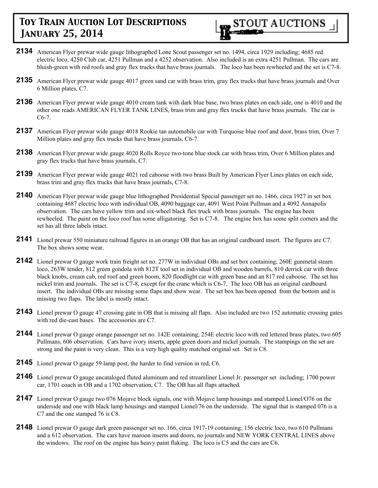

- **2134** American Flyer prewar wide gauge lithographed Lone Scout passenger set no. 1494, circa 1929 including; 4685 red electric loco, 4250 Club car, 4251 Pullman and a 4252 observation. Also included is an extra 4251 Pullman. The cars are bluish-green with red roofs and gray flex trucks that have brass journals. The loco has been rewheeled and the set is C7-8.
- **2135** American Flyer prewar wide gauge 4017 green sand car with brass trim, gray flex trucks that have brass journals and Over 6 Million plates, C7.
- **2136** American Flyer prewar wide gauge 4010 cream tank with dark blue base, two brass plates on each side, one is 4010 and the other one reads AMERICAN FLYER TANK LINES, brass trim and gray flex trucks that have brass journals. The car is C6-7.
- **2137** American Flyer prewar wide gauge 4018 Rookie tan automobile car with Turquoise blue roof and door, brass trim, Over 7 Million plates and gray flex trucks that have brass journals, C6-7.
- **2138** American Flyer prewar wide gauge 4020 Rolls Royce two-tone blue stock car with brass trim, Over 6 Million plates and gray flex trucks that have brass journals, C7.
- **2139** American Flyer prewar wide gauge 4021 red caboose with two brass Built by American Flyer Lines plates on each side, brass trim and gray flex trucks that have brass journals, C7-8.
- **2140** American Flyer prewar wide gauge blue lithographed Presidential Special passenger set no. 1466, circa 1927 in set box containing 4687 electric loco with individual OB, 4090 baggage car, 4091 West Point Pullman and a 4092 Annapolis observation. The cars have yellow trim and six-wheel black flex truck with brass journals. The engine has been rewheeled. The paint on the loco roof has some alligatoring. Set is C7-8. The engine box has some split corners and the set has all three labels intact.
- **2141** Lionel prewar 550 miniature railroad figures in an orange OB that has an original cardboard insert. The figures are C7. The box shows some wear.
- **2142** Lionel prewar O gauge work train freight set no. 277W in individual OBs and set box containing; 260E gunmetal steam loco, 263W tender, 812 green gondola with 812T tool set in individual OB and wooden barrels, 810 derrick car with three black knobs, cream cab, red roof and green boom, 820 floodlight car with green base and an 817 red caboose. The set has nickel trim and journals. The set is C7-8, except for the crane which is C6-7. The loco OB has an original cardboard insert. The individual OBs are missing some flaps and show wear. The set box has been opened from the bottom and is missing two flaps. The label is mostly intact.
- **2143** Lionel prewar O gauge 47 crossing gate in OB that is missing all flaps. Also included are two 152 automatic crossing gates with red die-cast bases. The accessories are C7.
- **2144** Lionel prewar O gauge orange passenger set no. 142E containing; 254E electric loco with red lettered brass plates, two 605 Pullmans, 606 observation. Cars have ivory inserts, apple green doors and nickel journals. The stampings on the set are strong and the paint is very clean. This is a very high quality matched original set. Set is C8.
- **2145** Lionel prewar O gauge 59 lamp post, the harder to find version in red, C6.
- **2146** Lionel prewar O gauge uncataloged fluted aluminum and red streamliner Lionel Jr. passenger set including; 1700 power car, 1701 coach in OB and a 1702 observation, C7. The OB has all flaps attached.
- **2147** Lionel prewar O gauge two 076 Mojave block signals, one with Mojave lamp housings and stamped Lionel/O76 on the underside and one with black lamp housings and stamped Lionel/76 on the underside. The signal that is stamped 076 is a C7 and the one stamped 76 is C8.
- **2148** Lionel prewar O gauge dark green passenger set no. 166, circa 1917-19 containing; 156 electric loco, two 610 Pullmans and a 612 observation. The cars have maroon inserts and doors, no journals and NEW YORK CENTRAL LINES above the windows. The roof on the engine has heavy paint flaking. The loco is C5 and the cars are C6.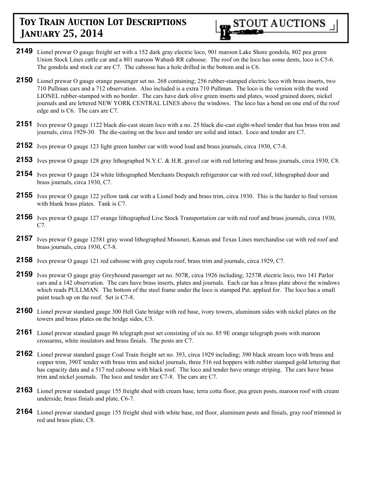

- **2149** Lionel prewar O gauge freight set with a 152 dark gray electric loco, 901 maroon Lake Shore gondola, 802 pea green Union Stock Lines cattle car and a 801 maroon Wabash RR caboose. The roof on the loco has some dents, loco is C5-6. The gondola and stock car are C7. The caboose has a hole drilled in the bottom and is C6.
- **2150** Lionel prewar O gauge orange passenger set no. 268 containing; 256 rubber-stamped electric loco with brass inserts, two 710 Pullman cars and a 712 observation. Also included is a extra 710 Pullman. The loco is the version with the word LIONEL rubber-stamped with no border. The cars have dark olive green inserts and plates, wood grained doors, nickel journals and are lettered NEW YORK CENTRAL LINES above the windows. The loco has a bend on one end of the roof edge and is C6. The cars are C7.
- **2151** Ives prewar O gauge 1122 black die-cast steam loco with a no. 25 black die-cast eight-wheel tender that has brass trim and journals, circa 1929-30. The die-casting on the loco and tender are solid and intact. Loco and tender are C7.
- **2152** Ives prewar O gauge 123 light green lumber car with wood load and brass journals, circa 1930, C7-8.
- **2153** Ives prewar O gauge 128 gray lithographed N.Y.C. & H.R. gravel car with red lettering and brass journals, circa 1930, C8.
- **2154** Ives prewar O gauge 124 white lithographed Merchants Despatch refrigerator car with red roof, lithographed door and brass journals, circa 1930, C7.
- **2155** Ives prewar O gauge 122 yellow tank car with a Lionel body and brass trim, circa 1930. This is the harder to find version with blank brass plates. Tank is C7.
- **2156** Ives prewar O gauge 127 orange lithographed Live Stock Transportation car with red roof and brass journals, circa 1930, C7.
- **2157** Ives prewar O gauge 12581 gray wood lithographed Missouri, Kansas and Texas Lines merchandise car with red roof and brass journals, circa 1930, C7-8.
- **2158** Ives prewar O gauge 121 red caboose with gray cupola roof, brass trim and journals, circa 1929, C7.
- **2159** Ives prewar O gauge gray Greyhound passenger set no. 507R, circa 1926 including; 3257R electric loco, two 141 Parlor cars and a 142 observation. The cars have brass inserts, plates and journals. Each car has a brass plate above the windows which reads PULLMAN. The bottom of the steel frame under the loco is stamped Pat. applied for. The loco has a small paint touch up on the roof. Set is C7-8.
- **2160** Lionel prewar standard gauge 300 Hell Gate bridge with red base, ivory towers, aluminum sides with nickel plates on the towers and brass plates on the bridge sides, C5.
- **2161** Lionel prewar standard gauge 86 telegraph post set consisting of six no. 85 9E orange telegraph posts with maroon crossarms, white insulators and brass finials. The posts are C7.
- **2162** Lionel prewar standard gauge Coal Train freight set no. 393, circa 1929 including; 390 black stream loco with brass and copper trim, 390T tender with brass trim and nickel journals, three 516 red hoppers with rubber stamped gold lettering that has capacity data and a 517 red caboose with black roof. The loco and tender have orange striping. The cars have brass trim and nickel journals. The loco and tender are C7-8. The cars are C7.
- **2163** Lionel prewar standard gauge 155 freight shed with cream base, terra cotta floor, pea green posts, maroon roof with cream underside, brass finials and plate, C6-7.
- **2164** Lionel prewar standard gauge 155 freight shed with white base, red floor, aluminum posts and finials, gray roof trimmed in red and brass plate, C8.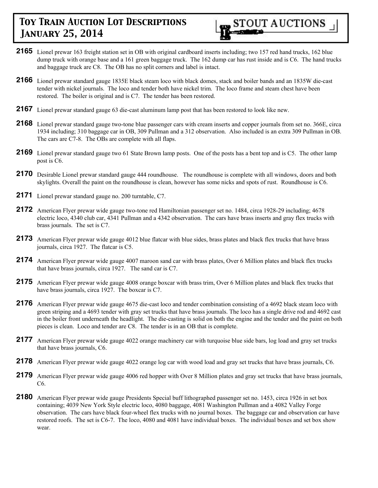

- **2165** Lionel prewar 163 freight station set in OB with original cardboard inserts including; two 157 red hand trucks, 162 blue dump truck with orange base and a 161 green baggage truck. The 162 dump car has rust inside and is C6. The hand trucks and baggage truck are C8. The OB has no split corners and label is intact.
- **2166** Lionel prewar standard gauge 1835E black steam loco with black domes, stack and boiler bands and an 1835W die-cast tender with nickel journals. The loco and tender both have nickel trim. The loco frame and steam chest have been restored. The boiler is original and is C7. The tender has been restored.
- **2167** Lionel prewar standard gauge 63 die-cast aluminum lamp post that has been restored to look like new.
- **2168** Lionel prewar standard gauge two-tone blue passenger cars with cream inserts and copper journals from set no. 366E, circa 1934 including; 310 baggage car in OB, 309 Pullman and a 312 observation. Also included is an extra 309 Pullman in OB. The cars are C7-8. The OBs are complete with all flaps.
- **2169** Lionel prewar standard gauge two 61 State Brown lamp posts. One of the posts has a bent top and is C5. The other lamp post is C6.
- **2170** Desirable Lionel prewar standard gauge 444 roundhouse. The roundhouse is complete with all windows, doors and both skylights. Overall the paint on the roundhouse is clean, however has some nicks and spots of rust. Roundhouse is C6.
- **2171** Lionel prewar standard gauge no. 200 turntable, C7.
- **2172** American Flyer prewar wide gauge two-tone red Hamiltonian passenger set no. 1484, circa 1928-29 including; 4678 electric loco, 4340 club car, 4341 Pullman and a 4342 observation. The cars have brass inserts and gray flex trucks with brass journals. The set is C7.
- 2173 American Flyer prewar wide gauge 4012 blue flatcar with blue sides, brass plates and black flex trucks that have brass journals, circa 1927. The flatcar is C5.
- **2174** American Flyer prewar wide gauge 4007 maroon sand car with brass plates, Over 6 Million plates and black flex trucks that have brass journals, circa 1927. The sand car is C7.
- **2175** American Flyer prewar wide gauge 4008 orange boxcar with brass trim, Over 6 Million plates and black flex trucks that have brass journals, circa 1927. The boxcar is C7.
- **2176** American Flyer prewar wide gauge 4675 die-cast loco and tender combination consisting of a 4692 black steam loco with green striping and a 4693 tender with gray set trucks that have brass journals. The loco has a single drive rod and 4692 cast in the boiler front underneath the headlight. The die-casting is solid on both the engine and the tender and the paint on both pieces is clean. Loco and tender are C8. The tender is in an OB that is complete.
- 2177 American Flyer prewar wide gauge 4022 orange machinery car with turquoise blue side bars, log load and gray set trucks that have brass journals, C6.
- **2178** American Flyer prewar wide gauge 4022 orange log car with wood load and gray set trucks that have brass journals, C6.
- **2179** American Flyer prewar wide gauge 4006 red hopper with Over 8 Million plates and gray set trucks that have brass journals, C6.
- **2180** American Flyer prewar wide gauge Presidents Special buff lithographed passenger set no. 1453, circa 1926 in set box containing; 4039 New York Style electric loco, 4080 baggage, 4081 Washington Pullman and a 4082 Valley Forge observation. The cars have black four-wheel flex trucks with no journal boxes. The baggage car and observation car have restored roofs. The set is C6-7. The loco, 4080 and 4081 have individual boxes. The individual boxes and set box show wear.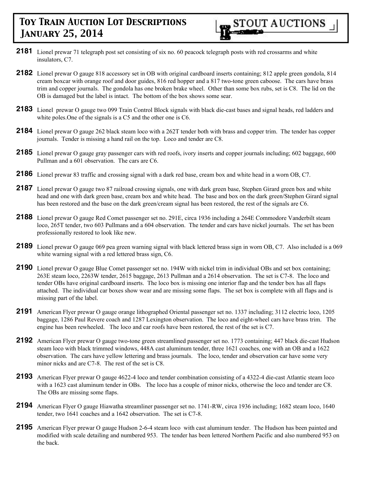

- **2181** Lionel prewar 71 telegraph post set consisting of six no. 60 peacock telegraph posts with red crossarms and white insulators, C7.
- **2182** Lionel prewar O gauge 818 accessory set in OB with original cardboard inserts containing; 812 apple green gondola, 814 cream boxcar with orange roof and door guides, 816 red hopper and a 817 two-tone green caboose. The cars have brass trim and copper journals. The gondola has one broken brake wheel. Other than some box rubs, set is C8. The lid on the OB is damaged but the label is intact. The bottom of the box shows some sear.
- **2183** Lionel prewar O gauge two 099 Train Control Block signals with black die-cast bases and signal heads, red ladders and white poles. One of the signals is a C5 and the other one is C6.
- **2184** Lionel prewar O gauge 262 black steam loco with a 262T tender both with brass and copper trim. The tender has copper journals. Tender is missing a hand rail on the top. Loco and tender are C8.
- **2185** Lionel prewar O gauge gray passenger cars with red roofs, ivory inserts and copper journals including; 602 baggage, 600 Pullman and a 601 observation. The cars are C6.
- **2186** Lionel prewar 83 traffic and crossing signal with a dark red base, cream box and white head in a worn OB, C7.
- 2187 Lionel prewar O gauge two 87 railroad crossing signals, one with dark green base, Stephen Girard green box and white head and one with dark green base, cream box and white head. The base and box on the dark green/Stephen Girard signal has been restored and the base on the dark green/cream signal has been restored, the rest of the signals are C6.
- **2188** Lionel prewar O gauge Red Comet passenger set no. 291E, circa 1936 including a 264E Commodore Vanderbilt steam loco, 265T tender, two 603 Pullmans and a 604 observation. The tender and cars have nickel journals. The set has been professionally restored to look like new.
- **2189** Lionel prewar O gauge 069 pea green warning signal with black lettered brass sign in worn OB, C7. Also included is a 069 white warning signal with a red lettered brass sign, C6.
- **2190** Lionel prewar O gauge Blue Comet passenger set no. 194W with nickel trim in individual OBs and set box containing; 263E steam loco, 2263W tender, 2615 baggage, 2613 Pullman and a 2614 observation. The set is C7-8. The loco and tender OBs have original cardboard inserts. The loco box is missing one interior flap and the tender box has all flaps attached. The individual car boxes show wear and are missing some flaps. The set box is complete with all flaps and is missing part of the label.
- **2191** American Flyer prewar O gauge orange lithographed Oriental passenger set no. 1337 including; 3112 electric loco, 1205 baggage, 1286 Paul Revere coach and 1287 Lexington observation. The loco and eight-wheel cars have brass trim. The engine has been rewheeled. The loco and car roofs have been restored, the rest of the set is C7.
- **2192** American Flyer prewar O gauge two-tone green streamlined passenger set no. 1773 containing; 447 black die-cast Hudson steam loco with black trimmed windows, 448A cast aluminum tender, three 1621 coaches, one with an OB and a 1622 observation. The cars have yellow lettering and brass journals. The loco, tender and observation car have some very minor nicks and are C7-8. The rest of the set is C8.
- **2193** American Flyer prewar O gauge 4622-4 loco and tender combination consisting of a 4322-4 die-cast Atlantic steam loco with a 1623 cast aluminum tender in OBs. The loco has a couple of minor nicks, otherwise the loco and tender are C8. The OBs are missing some flaps.
- **2194** American Flyer O gauge Hiawatha streamliner passenger set no. 1741-RW, circa 1936 including; 1682 steam loco, 1640 tender, two 1641 coaches and a 1642 observation. The set is C7-8.
- **2195** American Flyer prewar O gauge Hudson 2-6-4 steam loco with cast aluminum tender. The Hudson has been painted and modified with scale detailing and numbered 953. The tender has been lettered Northern Pacific and also numbered 953 on the back.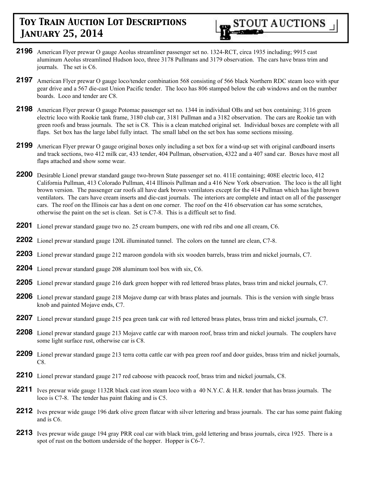

- **2196** American Flyer prewar O gauge Aeolus streamliner passenger set no. 1324-RCT, circa 1935 including; 9915 cast aluminum Aeolus streamlined Hudson loco, three 3178 Pullmans and 3179 observation. The cars have brass trim and journals. The set is C6.
- **2197** American Flyer prewar O gauge loco/tender combination 568 consisting of 566 black Northern RDC steam loco with spur gear drive and a 567 die-cast Union Pacific tender. The loco has 806 stamped below the cab windows and on the number boards. Loco and tender are C8.
- **2198** American Flyer prewar O gauge Potomac passenger set no. 1344 in individual OBs and set box containing; 3116 green electric loco with Rookie tank frame, 3180 club car, 3181 Pullman and a 3182 observation. The cars are Rookie tan with green roofs and brass journals. The set is C8. This is a clean matched original set. Individual boxes are complete with all flaps. Set box has the large label fully intact. The small label on the set box has some sections missing.
- **2199** American Flyer prewar O gauge original boxes only including a set box for a wind-up set with original cardboard inserts and track sections, two 412 milk car, 433 tender, 404 Pullman, observation, 4322 and a 407 sand car. Boxes have most all flaps attached and show some wear.
- **2200** Desirable Lionel prewar standard gauge two-brown State passenger set no. 411E containing; 408E electric loco, 412 California Pullman, 413 Colorado Pullman, 414 Illinois Pullman and a 416 New York observation. The loco is the all light brown version. The passenger car roofs all have dark brown ventilators except for the 414 Pullman which has light brown ventilators. The cars have cream inserts and die-cast journals. The interiors are complete and intact on all of the passenger cars. The roof on the Illinois car has a dent on one corner. The roof on the 416 observation car has some scratches, otherwise the paint on the set is clean. Set is C7-8. This is a difficult set to find.
- **2201** Lionel prewar standard gauge two no. 25 cream bumpers, one with red ribs and one all cream, C6.
- **2202** Lionel prewar standard gauge 120L illuminated tunnel. The colors on the tunnel are clean, C7-8.
- **2203** Lionel prewar standard gauge 212 maroon gondola with six wooden barrels, brass trim and nickel journals, C7.
- **2204** Lionel prewar standard gauge 208 aluminum tool box with six, C6.
- **2205** Lionel prewar standard gauge 216 dark green hopper with red lettered brass plates, brass trim and nickel journals, C7.
- **2206** Lionel prewar standard gauge 218 Mojave dump car with brass plates and journals. This is the version with single brass knob and painted Mojave ends, C7.
- **2207** Lionel prewar standard gauge 215 pea green tank car with red lettered brass plates, brass trim and nickel journals, C7.
- **2208** Lionel prewar standard gauge 213 Mojave cattle car with maroon roof, brass trim and nickel journals. The couplers have some light surface rust, otherwise car is C8.
- **2209** Lionel prewar standard gauge 213 terra cotta cattle car with pea green roof and door guides, brass trim and nickel journals, C8.
- **2210** Lionel prewar standard gauge 217 red caboose with peacock roof, brass trim and nickel journals, C8.
- **2211** Ives prewar wide gauge 1132R black cast iron steam loco with a 40 N.Y.C. & H.R. tender that has brass journals. The loco is C7-8. The tender has paint flaking and is C5.
- **2212** Ives prewar wide gauge 196 dark olive green flatcar with silver lettering and brass journals. The car has some paint flaking and is C6.
- **2213** Ives prewar wide gauge 194 gray PRR coal car with black trim, gold lettering and brass journals, circa 1925. There is a spot of rust on the bottom underside of the hopper. Hopper is C6-7.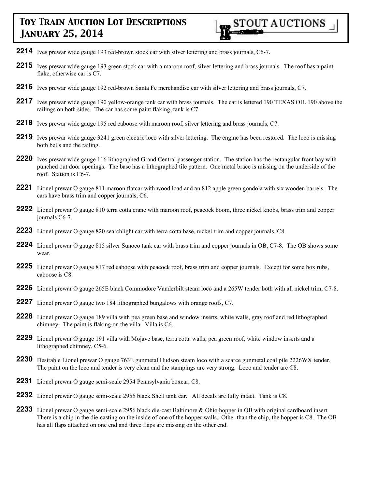- **2214** Ives prewar wide gauge 193 red-brown stock car with silver lettering and brass journals, C6-7.
- **2215** Ives prewar wide gauge 193 green stock car with a maroon roof, silver lettering and brass journals. The roof has a paint flake, otherwise car is C7.
- **2216** Ives prewar wide gauge 192 red-brown Santa Fe merchandise car with silver lettering and brass journals, C7.
- **2217** Ives prewar wide gauge 190 yellow-orange tank car with brass journals. The car is lettered 190 TEXAS OIL 190 above the railings on both sides. The car has some paint flaking, tank is C7.
- **2218** Ives prewar wide gauge 195 red caboose with maroon roof, silver lettering and brass journals, C7.
- **2219** Ives prewar wide gauge 3241 green electric loco with silver lettering. The engine has been restored. The loco is missing both bells and the railing.
- **2220** Ives prewar wide gauge 116 lithographed Grand Central passenger station. The station has the rectangular front bay with punched out door openings. The base has a lithographed tile pattern. One metal brace is missing on the underside of the roof. Station is C6-7.
- **2221** Lionel prewar O gauge 811 maroon flatcar with wood load and an 812 apple green gondola with six wooden barrels. The cars have brass trim and copper journals, C6.
- **2222** Lionel prewar O gauge 810 terra cotta crane with maroon roof, peacock boom, three nickel knobs, brass trim and copper journals,C6-7.
- **2223** Lionel prewar O gauge 820 searchlight car with terra cotta base, nickel trim and copper journals, C8.
- **2224** Lionel prewar O gauge 815 silver Sunoco tank car with brass trim and copper journals in OB, C7-8. The OB shows some wear.
- **2225** Lionel prewar O gauge 817 red caboose with peacock roof, brass trim and copper journals. Except for some box rubs, caboose is C8.
- **2226** Lionel prewar O gauge 265E black Commodore Vanderbilt steam loco and a 265W tender both with all nickel trim, C7-8.
- **2227** Lionel prewar O gauge two 184 lithographed bungalows with orange roofs, C7.
- **2228** Lionel prewar O gauge 189 villa with pea green base and window inserts, white walls, gray roof and red lithographed chimney. The paint is flaking on the villa. Villa is C6.
- **2229** Lionel prewar O gauge 191 villa with Mojave base, terra cotta walls, pea green roof, white window inserts and a lithographed chimney, C5-6.
- **2230** Desirable Lionel prewar O gauge 763E gunmetal Hudson steam loco with a scarce gunmetal coal pile 2226WX tender. The paint on the loco and tender is very clean and the stampings are very strong. Loco and tender are C8.
- **2231** Lionel prewar O gauge semi-scale 2954 Pennsylvania boxcar, C8.
- **2232** Lionel prewar O gauge semi-scale 2955 black Shell tank car. All decals are fully intact. Tank is C8.
- **2233** Lionel prewar O gauge semi-scale 2956 black die-cast Baltimore & Ohio hopper in OB with original cardboard insert. There is a chip in the die-casting on the inside of one of the hopper walls. Other than the chip, the hopper is C8. The OB has all flaps attached on one end and three flaps are missing on the other end.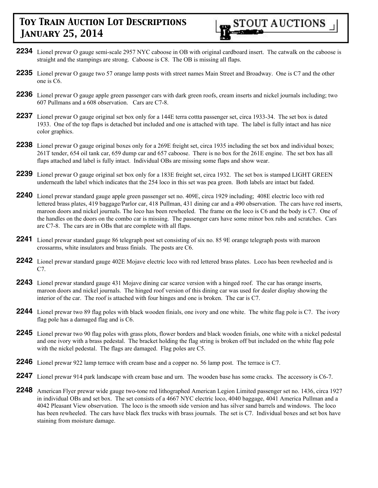- **2234** Lionel prewar O gauge semi-scale 2957 NYC caboose in OB with original cardboard insert. The catwalk on the caboose is straight and the stampings are strong. Caboose is C8. The OB is missing all flaps.
- **2235** Lionel prewar O gauge two 57 orange lamp posts with street names Main Street and Broadway. One is C7 and the other one is C6.
- **2236** Lionel prewar O gauge apple green passenger cars with dark green roofs, cream inserts and nickel journals including; two 607 Pullmans and a 608 observation. Cars are C7-8.
- **2237** Lionel prewar O gauge original set box only for a 144E terra cottta passenger set, circa 1933-34. The set box is dated 1933. One of the top flaps is detached but included and one is attached with tape. The label is fully intact and has nice color graphics.
- **2238** Lionel prewar O gauge original boxes only for a 269E freight set, circa 1935 including the set box and individual boxes; 261T tender, 654 oil tank car, 659 dump car and 657 caboose. There is no box for the 261E engine. The set box has all flaps attached and label is fully intact. Individual OBs are missing some flaps and show wear.
- **2239** Lionel prewar O gauge original set box only for a 183E freight set, circa 1932. The set box is stamped LIGHT GREEN underneath the label which indicates that the 254 loco in this set was pea green. Both labels are intact but faded.
- **2240** Lionel prewar standard gauge apple green passenger set no. 409E, circa 1929 including; 408E electric loco with red lettered brass plates, 419 baggage/Parlor car, 418 Pullman, 431 dining car and a 490 observation. The cars have red inserts, maroon doors and nickel journals. The loco has been rewheeled. The frame on the loco is C6 and the body is C7. One of the handles on the doors on the combo car is missing. The passenger cars have some minor box rubs and scratches. Cars are C7-8. The cars are in OBs that are complete with all flaps.
- **2241** Lionel prewar standard gauge 86 telegraph post set consisting of six no. 85 9E orange telegraph posts with maroon crossarms, white insulators and brass finials. The posts are C6.
- **2242** Lionel prewar standard gauge 402E Mojave electric loco with red lettered brass plates. Loco has been rewheeled and is C7.
- **2243** Lionel prewar standard gauge 431 Mojave dining car scarce version with a hinged roof. The car has orange inserts, maroon doors and nickel journals. The hinged roof version of this dining car was used for dealer display showing the interior of the car. The roof is attached with four hinges and one is broken. The car is C7.
- **2244** Lionel prewar two 89 flag poles with black wooden finials, one ivory and one white. The white flag pole is C7. The ivory flag pole has a damaged flag and is C6.
- **2245** Lionel prewar two 90 flag poles with grass plots, flower borders and black wooden finials, one white with a nickel pedestal and one ivory with a brass pedestal. The bracket holding the flag string is broken off but included on the white flag pole with the nickel pedestal. The flags are damaged. Flag poles are C5.
- **2246** Lionel prewar 922 lamp terrace with cream base and a copper no. 56 lamp post. The terrace is C7.
- **2247** Lionel prewar 914 park landscape with cream base and urn. The wooden base has some cracks. The accessory is C6-7.
- **2248** American Flyer prewar wide gauge two-tone red lithographed American Legion Limited passenger set no. 1436, circa 1927 in individual OBs and set box. The set consists of a 4667 NYC electric loco, 4040 baggage, 4041 America Pullman and a 4042 Pleasant View observation. The loco is the smooth side version and has silver sand barrels and windows. The loco has been rewheeled. The cars have black flex trucks with brass journals. The set is C7. Individual boxes and set box have staining from moisture damage.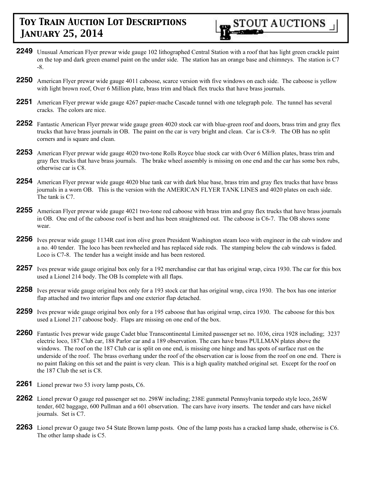

- **2249** Unusual American Flyer prewar wide gauge 102 lithographed Central Station with a roof that has light green crackle paint on the top and dark green enamel paint on the under side. The station has an orange base and chimneys. The station is C7 -8.
- **2250** American Flyer prewar wide gauge 4011 caboose, scarce version with five windows on each side. The caboose is yellow with light brown roof, Over 6 Million plate, brass trim and black flex trucks that have brass journals.
- **2251** American Flyer prewar wide gauge 4267 papier-mache Cascade tunnel with one telegraph pole. The tunnel has several cracks. The colors are nice.
- **2252** Fantastic American Flyer prewar wide gauge green 4020 stock car with blue-green roof and doors, brass trim and gray flex trucks that have brass journals in OB. The paint on the car is very bright and clean. Car is C8-9. The OB has no split corners and is square and clean.
- **2253** American Flyer prewar wide gauge 4020 two-tone Rolls Royce blue stock car with Over 6 Million plates, brass trim and gray flex trucks that have brass journals. The brake wheel assembly is missing on one end and the car has some box rubs, otherwise car is C8.
- **2254** American Flyer prewar wide gauge 4020 blue tank car with dark blue base, brass trim and gray flex trucks that have brass journals in a worn OB. This is the version with the AMERICAN FLYER TANK LINES and 4020 plates on each side. The tank is C7.
- **2255** American Flyer prewar wide gauge 4021 two-tone red caboose with brass trim and gray flex trucks that have brass journals in OB. One end of the caboose roof is bent and has been straightened out. The caboose is C6-7. The OB shows some wear.
- **2256** Ives prewar wide gauge 1134R cast iron olive green President Washington steam loco with engineer in the cab window and a no. 40 tender. The loco has been rewheeled and has replaced side rods. The stamping below the cab windows is faded. Loco is C7-8. The tender has a weight inside and has been restored.
- **2257** Ives prewar wide gauge original box only for a 192 merchandise car that has original wrap, circa 1930. The car for this box used a Lionel 214 body. The OB Is complete with all flaps.
- **2258** Ives prewar wide gauge original box only for a 193 stock car that has original wrap, circa 1930. The box has one interior flap attached and two interior flaps and one exterior flap detached.
- **2259** Ives prewar wide gauge original box only for a 195 caboose that has original wrap, circa 1930. The caboose for this box used a Lionel 217 caboose body. Flaps are missing on one end of the box.
- **2260** Fantastic Ives prewar wide gauge Cadet blue Transcontinental Limited passenger set no. 1036, circa 1928 including; 3237 electric loco, 187 Club car, 188 Parlor car and a 189 observation. The cars have brass PULLMAN plates above the windows. The roof on the 187 Club car is split on one end, is missing one hinge and has spots of surface rust on the underside of the roof. The brass overhang under the roof of the observation car is loose from the roof on one end. There is no paint flaking on this set and the paint is very clean. This is a high quality matched original set. Except for the roof on the 187 Club the set is C8.
- **2261** Lionel prewar two 53 ivory lamp posts, C6.
- **2262** Lionel prewar O gauge red passenger set no. 298W including; 238E gunmetal Pennsylvania torpedo style loco, 265W tender, 602 baggage, 600 Pullman and a 601 observation. The cars have ivory inserts. The tender and cars have nickel journals. Set is C7.
- **2263** Lionel prewar O gauge two 54 State Brown lamp posts. One of the lamp posts has a cracked lamp shade, otherwise is C6. The other lamp shade is C5.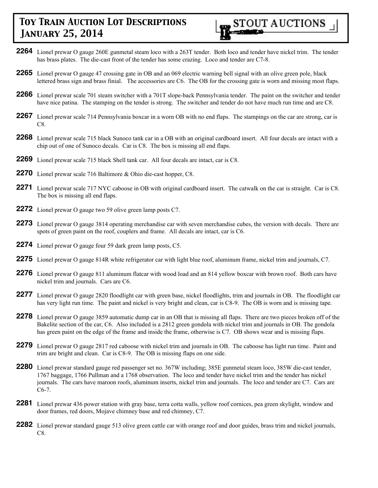

- **2264** Lionel prewar O gauge 260E gunmetal steam loco with a 263T tender. Both loco and tender have nickel trim. The tender has brass plates. The die-cast front of the tender has some crazing. Loco and tender are C7-8.
- **2265** Lionel prewar O gauge 47 crossing gate in OB and an 069 electric warning bell signal with an olive green pole, black lettered brass sign and brass finial. The accessories are C6. The OB for the crossing gate is worn and missing most flaps.
- **2266** Lionel prewar scale 701 steam switcher with a 701T slope-back Pennsylvania tender. The paint on the switcher and tender have nice patina. The stamping on the tender is strong. The switcher and tender do not have much run time and are C8.
- **2267** Lionel prewar scale 714 Pennsylvania boxcar in a worn OB with no end flaps. The stampings on the car are strong, car is C8.
- **2268** Lionel prewar scale 715 black Sunoco tank car in a OB with an original cardboard insert. All four decals are intact with a chip out of one of Sunoco decals. Car is C8. The box is missing all end flaps.
- **2269** Lionel prewar scale 715 black Shell tank car. All four decals are intact, car is C8.
- **2270** Lionel prewar scale 716 Baltimore & Ohio die-cast hopper, C8.
- **2271** Lionel prewar scale 717 NYC caboose in OB with original cardboard insert. The catwalk on the car is straight. Car is C8. The box is missing all end flaps.
- **2272** Lionel prewar O gauge two 59 olive green lamp posts C7.
- **2273** Lionel prewar O gauge 3814 operating merchandise car with seven merchandise cubes, the version with decals. There are spots of green paint on the roof, couplers and frame. All decals are intact, car is C6.
- **2274** Lionel prewar O gauge four 59 dark green lamp posts, C5.
- **2275** Lionel prewar O gauge 814R white refrigerator car with light blue roof, aluminum frame, nickel trim and journals, C7.
- **2276** Lionel prewar O gauge 811 aluminum flatcar with wood load and an 814 yellow boxcar with brown roof. Both cars have nickel trim and journals. Cars are C6.
- 2277 Lionel prewar O gauge 2820 floodlight car with green base, nickel floodlights, trim and journals in OB. The floodlight car has very light run time. The paint and nickel is very bright and clean, car is C8-9. The OB is worn and is missing tape.
- **2278** Lionel prewar O gauge 3859 automatic dump car in an OB that is missing all flaps. There are two pieces broken off of the Bakelite section of the car, C6. Also included is a 2812 green gondola with nickel trim and journals in OB. The gondola has green paint on the edge of the frame and inside the frame, otherwise is C7. OB shows wear and is missing flaps.
- **2279** Lionel prewar O gauge 2817 red caboose with nickel trim and journals in OB. The caboose has light run time. Paint and trim are bright and clean. Car is C8-9. The OB is missing flaps on one side.
- **2280** Lionel prewar standard gauge red passenger set no. 367W including; 385E gunmetal steam loco, 385W die-cast tender, 1767 baggage, 1766 Pullman and a 1768 observation. The loco and tender have nickel trim and the tender has nickel journals. The cars have maroon roofs, aluminum inserts, nickel trim and journals. The loco and tender are C7. Cars are C6-7.
- **2281** Lionel prewar 436 power station with gray base, terra cotta walls, yellow roof cornices, pea green skylight, window and door frames, red doors, Mojave chimney base and red chimney, C7.
- **2282** Lionel prewar standard gauge 513 olive green cattle car with orange roof and door guides, brass trim and nickel journals, C8.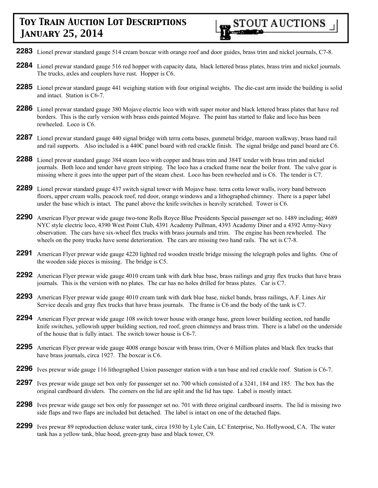- **2283** Lionel prewar standard gauge 514 cream boxcar with orange roof and door guides, brass trim and nickel journals, C7-8.
- **2284** Lionel prewar standard gauge 516 red hopper with capacity data, black lettered brass plates, brass trim and nickel journals. The trucks, axles and couplers have rust. Hopper is C6.
- **2285** Lionel prewar standard gauge 441 weighing station with four original weights. The die-cast arm inside the building is solid and intact. Station is C6-7.
- **2286** Lionel prewar standard gauge 380 Mojave electric loco with with super motor and black lettered brass plates that have red borders. This is the early version with brass ends painted Mojave. The paint has started to flake and loco has been rewheeled. Loco is C6.
- **2287** Lionel prewar standard gauge 440 signal bridge with terra cotta bases, gunmetal bridge, maroon walkway, brass hand rail and rail supports. Also included is a 440C panel board with red crackle finish. The signal bridge and panel board are C6.
- **2288** Lionel prewar standard gauge 384 steam loco with copper and brass trim and 384T tender with brass trim and nickel journals. Both loco and tender have green striping. The loco has a cracked frame near the boiler front. The valve gear is missing where it goes into the upper part of the steam chest. Loco has been rewheeled and is C6. The tender is C7.
- **2289** Lionel prewar standard gauge 437 switch signal tower with Mojave base. terra cotta lower walls, ivory band between floors, upper cream walls, peacock roof, red door, orange windows and a lithographed chimney. There is a paper label under the base which is intact. The panel above the knife switches is heavily scratched. Tower is C6.
- **2290** American Flyer prewar wide gauge two-tone Rolls Royce Blue Presidents Special passenger set no. 1489 including; 4689 NYC style electric loco, 4390 West Point Club, 4391 Academy Pullman, 4393 Academy Diner and a 4392 Army-Navy observation. The cars have six-wheel flex trucks with brass journals and trim. The engine has been rewheeled. The wheels on the pony trucks have some deterioration. The cars are missing two hand rails. The set is C7-8.
- **2291** American Flyer prewar wide gauge 4220 lighted red wooden trestle bridge missing the telegraph poles and lights. One of the wooden side pieces is missing. The bridge is C5.
- **2292** American Flyer prewar wide gauge 4010 cream tank with dark blue base, brass railings and gray flex trucks that have brass journals. This is the version with no plates. The car has no holes drilled for brass plates. Car is C7.
- **2293** American Flyer prewar wide gauge 4010 cream tank with dark blue base, nickel bands, brass railings, A.F. Lines Air Service decals and gray flex trucks that have brass journals. The frame is C6 and the body of the tank is C7.
- **2294** American Flyer prewar wide gauge 108 switch tower house with orange base, green lower building section, red handle knife switches, yellowish upper building section, red roof, green chimneys and brass trim. There is a label on the underside of the house that is fully intact. The switch tower house is C6-7.
- **2295** American Flyer prewar wide gauge 4008 orange boxcar with brass trim, Over 6 Million plates and black flex trucks that have brass journals, circa 1927. The boxcar is C6.
- **2296** Ives prewar wide gauge 116 lithographed Union passenger station with a tan base and red crackle roof. Station is C6-7.
- **2297** Ives prewar wide gauge set box only for passenger set no. 700 which consisted of a 3241, 184 and 185. The box has the original cardboard dividers. The corners on the lid are split and the lid has tape. Label is mostly intact.
- **2298** Ives prewar wide gauge set box only for passenger set no. 701 with three original cardboard inserts. The lid is missing two side flaps and two flaps are included but detached. The label is intact on one of the detached flaps.
- **2299** Ives prewar 89 reproduction deluxe water tank, circa 1930 by Lyle Cain, LC Enterprise, No. Hollywood, CA. The water tank has a yellow tank, blue hood, green-gray base and black tower, C9.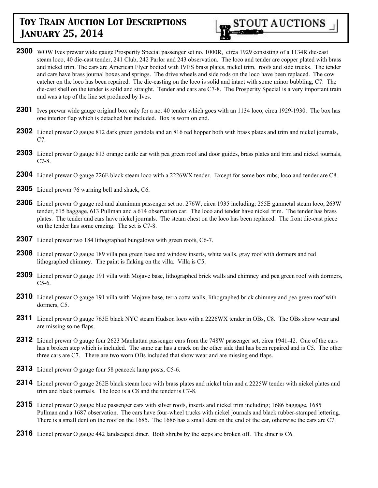

- **2300** WOW Ives prewar wide gauge Prosperity Special passenger set no. 1000R, circa 1929 consisting of a 1134R die-cast steam loco, 40 die-cast tender, 241 Club, 242 Parlor and 243 observation. The loco and tender are copper plated with brass and nickel trim. The cars are American Flyer bodied with IVES brass plates, nickel trim, roofs and side trucks. The tender and cars have brass journal boxes and springs. The drive wheels and side rods on the loco have been replaced. The cow catcher on the loco has been repaired. The die-casting on the loco is solid and intact with some minor bubbling, C7. The die-cast shell on the tender is solid and straight. Tender and cars are C7-8. The Prosperity Special is a very important train and was a top of the line set produced by Ives.
- **2301** Ives prewar wide gauge original box only for a no. 40 tender which goes with an 1134 loco, circa 1929-1930. The box has one interior flap which is detached but included. Box is worn on end.
- **2302** Lionel prewar O gauge 812 dark green gondola and an 816 red hopper both with brass plates and trim and nickel journals, C7.
- **2303** Lionel prewar O gauge 813 orange cattle car with pea green roof and door guides, brass plates and trim and nickel journals, C7-8.
- **2304** Lionel prewar O gauge 226E black steam loco with a 2226WX tender. Except for some box rubs, loco and tender are C8.
- **2305** Lionel prewar 76 warning bell and shack, C6.
- **2306** Lionel prewar O gauge red and aluminum passenger set no. 276W, circa 1935 including; 255E gunmetal steam loco, 263W tender, 615 baggage, 613 Pullman and a 614 observation car. The loco and tender have nickel trim. The tender has brass plates. The tender and cars have nickel journals. The steam chest on the loco has been replaced. The front die-cast piece on the tender has some crazing. The set is C7-8.
- **2307** Lionel prewar two 184 lithographed bungalows with green roofs, C6-7.
- **2308** Lionel prewar O gauge 189 villa pea green base and window inserts, white walls, gray roof with dormers and red lithographed chimney. The paint is flaking on the villa. Villa is C5.
- **2309** Lionel prewar O gauge 191 villa with Mojave base, lithographed brick walls and chimney and pea green roof with dormers, C5-6.
- **2310** Lionel prewar O gauge 191 villa with Mojave base, terra cotta walls, lithographed brick chimney and pea green roof with dormers, C5.
- 2311 Lionel prewar O gauge 763E black NYC steam Hudson loco with a 2226WX tender in OBs, C8. The OBs show wear and are missing some flaps.
- **2312** Lionel prewar O gauge four 2623 Manhattan passenger cars from the 748W passenger set, circa 1941-42. One of the cars has a broken step which is included. The same car has a crack on the other side that has been repaired and is C5. The other three cars are C7. There are two worn OBs included that show wear and are missing end flaps.
- **2313** Lionel prewar O gauge four 58 peacock lamp posts, C5-6.
- **2314** Lionel prewar O gauge 262E black steam loco with brass plates and nickel trim and a 2225W tender with nickel plates and trim and black journals. The loco is a C8 and the tender is C7-8.
- **2315** Lionel prewar O gauge blue passenger cars with silver roofs, inserts and nickel trim including; 1686 baggage, 1685 Pullman and a 1687 observation. The cars have four-wheel trucks with nickel journals and black rubber-stamped lettering. There is a small dent on the roof on the 1685. The 1686 has a small dent on the end of the car, otherwise the cars are C7.
- **2316** Lionel prewar O gauge 442 landscaped diner. Both shrubs by the steps are broken off. The diner is C6.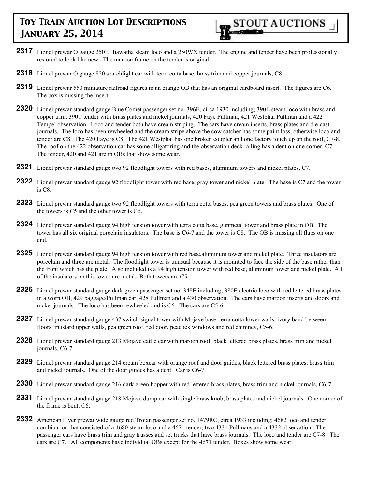

- **2317** Lionel prewar O gauge 250E Hiawatha steam loco and a 250WX tender. The engine and tender have been professionally restored to look like new. The maroon frame on the tender is original.
- **2318** Lionel prewar O gauge 820 searchlight car with terra cotta base, brass trim and copper journals, C8.
- **2319** Lionel prewar 550 miniature railroad figures in an orange OB that has an original cardboard insert. The figures are C6. The box is missing the insert.
- **2320** Lionel prewar standard gauge Blue Comet passenger set no. 396E, circa 1930 including; 390E steam loco with brass and copper trim, 390T tender with brass plates and nickel journals, 420 Faye Pullman, 421 Westphal Pullman and a 422 Tempel observation. Loco and tender both have cream striping. The cars have cream inserts, brass plates and die-cast journals. The loco has been rewheeled and the cream stripe above the cow catcher has some paint loss, otherwise loco and tender are C8. The 420 Faye is C8. The 421 Westphal has one broken coupler and one factory touch up on the roof, C7-8. The roof on the 422 observation car has some alligatoring and the observation deck railing has a dent on one corner, C7. The tender, 420 and 421 are in OBs that show some wear.
- **2321** Lionel prewar standard gauge two 92 floodlight towers with red bases, aluminum towers and nickel plates, C7.
- **2322** Lionel prewar standard gauge 92 floodlight tower with red base, gray tower and nickel plate. The base is C7 and the tower is C8.
- **2323** Lionel prewar standard gauge two 92 floodlight towers with terra cotta bases, pea green towers and brass plates. One of the towers is C5 and the other tower is C6.
- **2324** Lionel prewar standard gauge 94 high tension tower with terra cotta base, gunmetal tower and brass plate in OB. The tower has all six original porcelain insulators. The base is C6-7 and the tower is C8. The OB is missing all flaps on one end.
- **2325** Lionel prewar standard gauge 94 high tension tower with red base,aluminum tower and nickel plate. Three insulators are porcelain and three are metal. The floodlight tower is unusual because it is mounted to face the side of the base rather than the front which has the plate. Also included is a 94 high tension tower with red base, aluminum tower and nickel plate. All of the insulators on this tower are metal. Both towers are C5.
- **2326** Lionel prewar standard gauge dark green passenger set no. 348E including; 380E electric loco with red lettered brass plates in a worn OB, 429 baggage/Pullman car, 428 Pullman and a 430 observation. The cars have maroon inserts and doors and nickel journals. The loco has been rewheeled and is C6. The cars are C5-6.
- **2327** Lionel prewar standard gauge 437 switch signal tower with Mojave base, terra cotta lower walls, ivory band between floors, mustard upper walls, pea green roof, red door, peacock windows and red chimney, C5-6.
- **2328** Lionel prewar standard gauge 213 Mojave cattle car with maroon roof, black lettered brass plates, brass trim and nickel journals, C6-7.
- **2329** Lionel prewar standard gauge 214 cream boxcar with orange roof and door guides, black lettered brass plates, brass trim and nickel journals. One of the door guides has a dent. Car is C6-7.
- **2330** Lionel prewar standard gauge 216 dark green hopper with red lettered brass plates, brass trim and nickel journals, C6-7.
- **2331** Lionel prewar standard gauge 218 Mojave dump car with single brass knob, brass plates and nickel journals. One corner of the frame is bent, C6.
- **2332** American Flyer prewar wide gauge red Trojan passenger set no. 1479RC, circa 1933 including; 4682 loco and tender combination that consisted of a 4680 steam loco and a 4671 tender, two 4331 Pullmans and a 4332 observation. The passenger cars have brass trim and gray trusses and set trucks that have brass journals. The loco and tender are C7-8. The cars are C7. All components have individual OBs except for the 4671 tender. Boxes show some wear.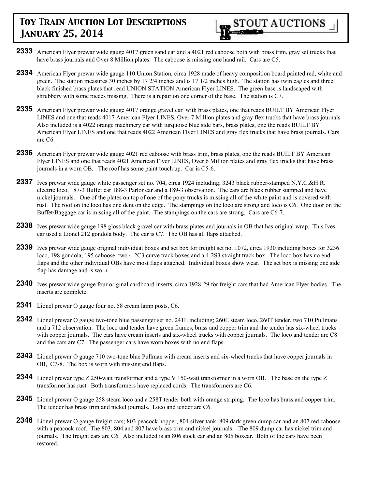- **2333** American Flyer prewar wide gauge 4017 green sand car and a 4021 red caboose both with brass trim, gray set trucks that have brass journals and Over 8 Million plates. The caboose is missing one hand rail. Cars are C5.
- **2334** American Flyer prewar wide gauge 110 Union Station, circa 1928 made of heavy composition board painted red, white and green. The station measures 30 inches by 17 2/4 inches and is 17 1/2 inches high. The station has twin eagles and three black finished brass plates that read UNION STATION American Flyer LINES. The green base is landscaped with shrubbery with some pieces missing. There is a repair on one corner of the base. The station is C7.
- **2335** American Flyer prewar wide gauge 4017 orange gravel car with brass plates, one that reads BUILT BY American Flyer LINES and one that reads 4017 American Flyer LINES, Over 7 Million plates and gray flex trucks that have brass journals. Also included is a 4022 orange machinery car with turquoise blue side bars, brass plates, one the reads BUILT BY American Flyer LINES and one that reads 4022 American Flyer LINES and gray flex trucks that have brass journals. Cars are C6.
- **2336** American Flyer prewar wide gauge 4021 red caboose with brass trim, brass plates, one the reads BUILT BY American Flyer LINES and one that reads 4021 American Flyer LINES, Over 6 Million plates and gray flex trucks that have brass journals in a worn OB. The roof has some paint touch up. Car is C5-6.
- **2337** Ives prewar wide gauge white passenger set no. 704, circa 1924 including; 3243 black rubber-stamped N.Y.C.&H.R. electric loco, 187-3 Buffet car 188-3 Parlor car and a 189-3 observation. The cars are black rubber stamped and have nickel journals. One of the plates on top of one of the pony trucks is missing all of the white paint and is covered with rust. The roof on the loco has one dent on the edge. The stampings on the loco are strong and loco is C6. One door on the Buffet/Baggage car is missing all of the paint. The stampings on the cars are strong. Cars are C6-7.
- **2338** Ives prewar wide gauge 198 gloss black gravel car with brass plates and journals in OB that has original wrap. This Ives car used a Lionel 212 gondola body. The car is C7. The OB has all flaps attached.
- **2339** Ives prewar wide gauge original individual boxes and set box for freight set no. 1072, circa 1930 including boxes for 3236 loco, 198 gondola, 195 caboose, two 4-2C3 curve track boxes and a 4-2S3 straight track box. The loco box has no end flaps and the other individual OBs have most flaps attached. Individual boxes show wear. The set box is missing one side flap has damage and is worn.
- **2340** Ives prewar wide gauge four original cardboard inserts, circa 1928-29 for freight cars that had American Flyer bodies. The inserts are complete.
- **2341** Lionel prewar O gauge four no. 58 cream lamp posts, C6.
- **2342** Lionel prewar O gauge two-tone blue passenger set no. 241E including; 260E steam loco, 260T tender, two 710 Pullmans and a 712 observation. The loco and tender have green frames, brass and copper trim and the tender has six-wheel trucks with copper journals. The cars have cream inserts and six-wheel trucks with copper journals. The loco and tender are C8 and the cars are C7. The passenger cars have worn boxes with no end flaps.
- **2343** Lionel prewar O gauge 710 two-tone blue Pullman with cream inserts and six-wheel trucks that have copper journals in OB, C7-8. The box is worn with missing end flaps.
- **2344** Lionel prewar type Z 250-watt transformer and a type V 150-watt transformer in a worn OB. The base on the type Z transformer has rust. Both transformers have replaced cords. The transformers are C6.
- **2345** Lionel prewar O gauge 258 steam loco and a 258T tender both with orange striping. The loco has brass and copper trim. The tender has brass trim and nickel journals. Loco and tender are C6.
- **2346** Lionel prewar O gauge freight cars; 803 peacock hopper, 804 silver tank, 809 dark green dump car and an 807 red caboose with a peacock roof. The 803, 804 and 807 have brass trim and nickel journals. The 809 dump car has nickel trim and journals. The freight cars are C6. Also included is an 806 stock car and an 805 boxcar. Both of the cars have been restored.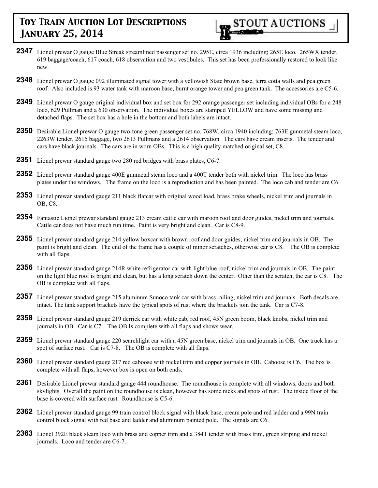

- **2347** Lionel prewar O gauge Blue Streak streamlined passenger set no. 295E, circa 1936 including; 265E loco, 265WX tender, 619 baggage/coach, 617 coach, 618 observation and two vestibules. This set has been professionally restored to look like new.
- **2348** Lionel prewar O gauge 092 illuminated signal tower with a yellowish State brown base, terra cotta walls and pea green roof. Also included is 93 water tank with maroon base, burnt orange tower and pea green tank. The accessories are C5-6.
- **2349** Lionel prewar O gauge original individual box and set box for 292 orange passenger set including individual OBs for a 248 loco, 629 Pullman and a 630 observation. The individual boxes are stamped YELLOW and have some missing and detached flaps. The set box has a hole in the bottom and both labels are intact.
- **2350** Desirable Lionel prewar O gauge two-tone green passenger set no. 768W, circa 1940 including; 763E gunmetal steam loco, 2263W tender, 2615 baggage, two 2613 Pullmans and a 2614 observation. The cars have cream inserts. The tender and cars have black journals. The cars are in worn OBs. This is a high quality matched original set, C8.
- **2351** Lionel prewar standard gauge two 280 red bridges with brass plates, C6-7.
- **2352** Lionel prewar standard gauge 400E gunmetal steam loco and a 400T tender both with nickel trim. The loco has brass plates under the windows. The frame on the loco is a reproduction and has been painted. The loco cab and tender are C6.
- **2353** Lionel prewar standard gauge 211 black flatcar with original wood load, brass brake wheels, nickel trim and journals in OB, C8.
- **2354** Fantastic Lionel prewar standard gauge 213 cream cattle car with maroon roof and door guides, nickel trim and journals. Cattle car does not have much run time. Paint is very bright and clean. Car is C8-9.
- **2355** Lionel prewar standard gauge 214 yellow boxcar with brown roof and door guides, nickel trim and journals in OB. The paint is bright and clean. The end of the frame has a couple of minor scratches, otherwise car is C8. The OB is complete with all flaps.
- **2356** Lionel prewar standard gauge 214R white refrigerator car with light blue roof, nickel trim and journals in OB. The paint on the light blue roof is bright and clean, but has a long scratch down the center. Other than the scratch, the car is C8. The OB is complete with all flaps.
- **2357** Lionel prewar standard gauge 215 aluminum Sunoco tank car with brass railing, nickel trim and journals. Both decals are intact. The tank support brackets have the typical spots of rust where the brackets join the tank. Car is C7-8.
- **2358** Lionel prewar standard gauge 219 derrick car with white cab, red roof, 45N green boom, black knobs, nickel trim and journals in OB. Car is C7. The OB Is complete with all flaps and shows wear.
- **2359** Lionel prewar standard gauge 220 searchlight car with a 45N green base, nickel trim and journals in OB. One truck has a spot of surface rust. Car is C7-8. The OB is complete with all flaps.
- **2360** Lionel prewar standard gauge 217 red caboose with nickel trim and copper journals in OB. Caboose is C6. The box is complete with all flaps, however box is open on both ends.
- **2361** Desirable Lionel prewar standard gauge 444 roundhouse. The roundhouse is complete with all windows, doors and both skylights. Overall the paint on the roundhouse is clean, however has some nicks and spots of rust. The inside floor of the base is covered with surface rust. Roundhouse is C5-6.
- **2362** Lionel prewar standard gauge 99 train control block signal with black base, cream pole and red ladder and a 99N train control block signal with red base and ladder and aluminum painted pole. The signals are C6.
- **2363** Lionel 392E black steam loco with brass and copper trim and a 384T tender with brass trim, green striping and nickel journals. Loco and tender are C6-7.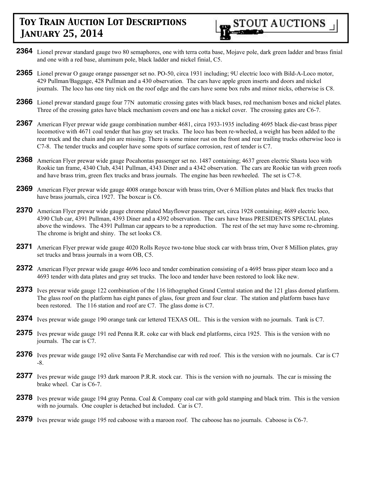- **2364** Lionel prewar standard gauge two 80 semaphores, one with terra cotta base, Mojave pole, dark green ladder and brass finial and one with a red base, aluminum pole, black ladder and nickel finial, C5.
- **2365** Lionel prewar O gauge orange passenger set no. PO-50, circa 1931 including; 9U electric loco with Bild-A-Loco motor, 429 Pullman/Baggage, 428 Pullman and a 430 observation. The cars have apple green inserts and doors and nickel journals. The loco has one tiny nick on the roof edge and the cars have some box rubs and minor nicks, otherwise is C8.
- **2366** Lionel prewar standard gauge four 77N automatic crossing gates with black bases, red mechanism boxes and nickel plates. Three of the crossing gates have black mechanism covers and one has a nickel cover. The crossing gates are C6-7.
- **2367** American Flyer prewar wide gauge combination number 4681, circa 1933-1935 including 4695 black die-cast brass piper locomotive with 4671 coal tender that has gray set trucks. The loco has been re-wheeled, a weight has been added to the rear truck and the chain and pin are missing. There is some minor rust on the front and rear trailing trucks otherwise loco is C7-8. The tender trucks and coupler have some spots of surface corrosion, rest of tender is C7.
- **2368** American Flyer prewar wide gauge Pocahontas passenger set no. 1487 containing; 4637 green electric Shasta loco with Rookie tan frame, 4340 Club, 4341 Pullman, 4343 Diner and a 4342 observation. The cars are Rookie tan with green roofs and have brass trim, green flex trucks and brass journals. The engine has been rewheeled. The set is C7-8.
- **2369** American Flyer prewar wide gauge 4008 orange boxcar with brass trim, Over 6 Million plates and black flex trucks that have brass journals, circa 1927. The boxcar is C6.
- 2370 American Flyer prewar wide gauge chrome plated Mayflower passenger set, circa 1928 containing; 4689 electric loco, 4390 Club car, 4391 Pullman, 4393 Diner and a 4392 observation. The cars have brass PRESIDENTS SPECIAL plates above the windows. The 4391 Pullman car appears to be a reproduction. The rest of the set may have some re-chroming. The chrome is bright and shiny. The set looks C8.
- **2371** American Flyer prewar wide gauge 4020 Rolls Royce two-tone blue stock car with brass trim, Over 8 Million plates, gray set trucks and brass journals in a worn OB, C5.
- **2372** American Flyer prewar wide gauge 4696 loco and tender combination consisting of a 4695 brass piper steam loco and a 4693 tender with data plates and gray set trucks. The loco and tender have been restored to look like new.
- **2373** Ives prewar wide gauge 122 combination of the 116 lithographed Grand Central station and the 121 glass domed platform. The glass roof on the platform has eight panes of glass, four green and four clear. The station and platform bases have been restored. The 116 station and roof are C7. The glass dome is C7.
- **2374** Ives prewar wide gauge 190 orange tank car lettered TEXAS OIL. This is the version with no journals. Tank is C7.
- **2375** Ives prewar wide gauge 191 red Penna R.R. coke car with black end platforms, circa 1925. This is the version with no journals. The car is C7.
- **2376** Ives prewar wide gauge 192 olive Santa Fe Merchandise car with red roof. This is the version with no journals. Car is C7 -8.
- 2377 Ives prewar wide gauge 193 dark maroon P.R.R. stock car. This is the version with no journals. The car is missing the brake wheel. Car is C6-7.
- 2378 Ives prewar wide gauge 194 gray Penna. Coal & Company coal car with gold stamping and black trim. This is the version with no journals. One coupler is detached but included. Car is C7.
- **2379** Ives prewar wide gauge 195 red caboose with a maroon roof. The caboose has no journals. Caboose is C6-7.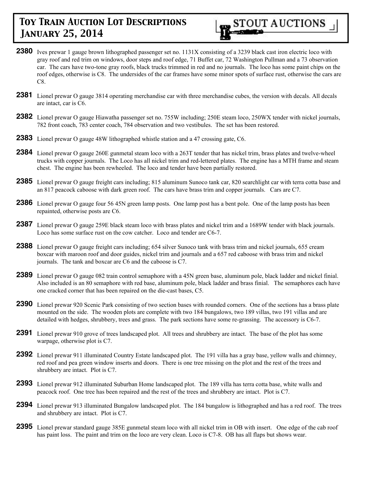

- **2380** Ives prewar 1 gauge brown lithographed passenger set no. 1131X consisting of a 3239 black cast iron electric loco with gray roof and red trim on windows, door steps and roof edge, 71 Buffet car, 72 Washington Pullman and a 73 observation car. The cars have two-tone gray roofs, black trucks trimmed in red and no journals. The loco has some paint chips on the roof edges, otherwise is C8. The undersides of the car frames have some minor spots of surface rust, otherwise the cars are C8.
- **2381** Lionel prewar O gauge 3814 operating merchandise car with three merchandise cubes, the version with decals. All decals are intact, car is C6.
- **2382** Lionel prewar O gauge Hiawatha passenger set no. 755W including; 250E steam loco, 250WX tender with nickel journals, 782 front coach, 783 center coach, 784 observation and two vestibules. The set has been restored.
- **2383** Lionel prewar O gauge 48W lithographed whistle station and a 47 crossing gate, C6.
- **2384** Lionel prewar O gauge 260E gunmetal steam loco with a 263T tender that has nickel trim, brass plates and twelve-wheel trucks with copper journals. The Loco has all nickel trim and red-lettered plates. The engine has a MTH frame and steam chest. The engine has been rewheeled. The loco and tender have been partially restored.
- **2385** Lionel prewar O gauge freight cars including; 815 aluminum Sunoco tank car, 820 searchlight car with terra cotta base and an 817 peacock caboose with dark green roof. The cars have brass trim and copper journals. Cars are C7.
- **2386** Lionel prewar O gauge four 56 45N green lamp posts. One lamp post has a bent pole. One of the lamp posts has been repainted, otherwise posts are C6.
- **2387** Lionel prewar O gauge 259E black steam loco with brass plates and nickel trim and a 1689W tender with black journals. Loco has some surface rust on the cow catcher. Loco and tender are C6-7.
- **2388** Lionel prewar O gauge freight cars including; 654 silver Sunoco tank with brass trim and nickel journals, 655 cream boxcar with maroon roof and door guides, nickel trim and journals and a 657 red caboose with brass trim and nickel journals. The tank and boxcar are C6 and the caboose is C7.
- **2389** Lionel prewar O gauge 082 train control semaphore with a 45N green base, aluminum pole, black ladder and nickel finial. Also included is an 80 semaphore with red base, aluminum pole, black ladder and brass finial. The semaphores each have one cracked corner that has been repaired on the die-cast bases, C5.
- **2390** Lionel prewar 920 Scenic Park consisting of two section bases with rounded corners. One of the sections has a brass plate mounted on the side. The wooden plots are complete with two 184 bungalows, two 189 villas, two 191 villas and are detailed with hedges, shrubbery, trees and grass. The park sections have some re-grassing. The accessory is C6-7.
- **2391** Lionel prewar 910 grove of trees landscaped plot. All trees and shrubbery are intact. The base of the plot has some warpage, otherwise plot is C7.
- **2392** Lionel prewar 911 illuminated Country Estate landscaped plot. The 191 villa has a gray base, yellow walls and chimney, red roof and pea green window inserts and doors. There is one tree missing on the plot and the rest of the trees and shrubbery are intact. Plot is C7.
- **2393** Lionel prewar 912 illuminated Suburban Home landscaped plot. The 189 villa has terra cotta base, white walls and peacock roof. One tree has been repaired and the rest of the trees and shrubbery are intact. Plot is C7.
- **2394** Lionel prewar 913 illuminated Bungalow landscaped plot. The 184 bungalow is lithographed and has a red roof. The trees and shrubbery are intact. Plot is C7.
- **2395** Lionel prewar standard gauge 385E gunmetal steam loco with all nickel trim in OB with insert. One edge of the cab roof has paint loss. The paint and trim on the loco are very clean. Loco is C7-8. OB has all flaps but shows wear.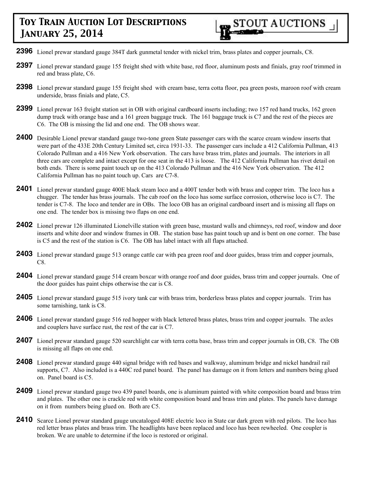**2396** Lionel prewar standard gauge 384T dark gunmetal tender with nickel trim, brass plates and copper journals, C8.

**2397** Lionel prewar standard gauge 155 freight shed with white base, red floor, aluminum posts and finials, gray roof trimmed in red and brass plate, C6.

STOUT AUCTIONS

- **2398** Lionel prewar standard gauge 155 freight shed with cream base, terra cotta floor, pea green posts, maroon roof with cream underside, brass finials and plate, C5.
- **2399** Lionel prewar 163 freight station set in OB with original cardboard inserts including; two 157 red hand trucks, 162 green dump truck with orange base and a 161 green baggage truck. The 161 baggage truck is C7 and the rest of the pieces are C6. The OB is missing the lid and one end. The OB shows wear.
- **2400** Desirable Lionel prewar standard gauge two-tone green State passenger cars with the scarce cream window inserts that were part of the 433E 20th Century Limited set, circa 1931-33. The passenger cars include a 412 California Pullman, 413 Colorado Pullman and a 416 New York observation. The cars have brass trim, plates and journals. The interiors in all three cars are complete and intact except for one seat in the 413 is loose. The 412 California Pullman has rivet detail on both ends. There is some paint touch up on the 413 Colorado Pullman and the 416 New York observation. The 412 California Pullman has no paint touch up. Cars are C7-8.
- **2401** Lionel prewar standard gauge 400E black steam loco and a 400T tender both with brass and copper trim. The loco has a chugger. The tender has brass journals. The cab roof on the loco has some surface corrosion, otherwise loco is C7. The tender is C7-8. The loco and tender are in OBs. The loco OB has an original cardboard insert and is missing all flaps on one end. The tender box is missing two flaps on one end.
- **2402** Lionel prewar 126 illuminated Lionelville station with green base, mustard walls and chimneys, red roof, window and door inserts and white door and window frames in OB. The station base has paint touch up and is bent on one corner. The base is C5 and the rest of the station is C6. The OB has label intact with all flaps attached.
- **2403** Lionel prewar standard gauge 513 orange cattle car with pea green roof and door guides, brass trim and copper journals, C8.
- **2404** Lionel prewar standard gauge 514 cream boxcar with orange roof and door guides, brass trim and copper journals. One of the door guides has paint chips otherwise the car is C8.
- **2405** Lionel prewar standard gauge 515 ivory tank car with brass trim, borderless brass plates and copper journals. Trim has some tarnishing, tank is C8.
- **2406** Lionel prewar standard gauge 516 red hopper with black lettered brass plates, brass trim and copper journals. The axles and couplers have surface rust, the rest of the car is C7.
- **2407** Lionel prewar standard gauge 520 searchlight car with terra cotta base, brass trim and copper journals in OB, C8. The OB is missing all flaps on one end.
- **2408** Lionel prewar standard gauge 440 signal bridge with red bases and walkway, aluminum bridge and nickel handrail rail supports, C7. Also included is a 440C red panel board. The panel has damage on it from letters and numbers being glued on. Panel board is C5.
- **2409** Lionel prewar standard gauge two 439 panel boards, one is aluminum painted with white composition board and brass trim and plates. The other one is crackle red with white composition board and brass trim and plates. The panels have damage on it from numbers being glued on. Both are C5.
- **2410** Scarce Lionel prewar standard gauge uncataloged 408E electric loco in State car dark green with red pilots. The loco has red letter brass plates and brass trim. The headlights have been replaced and loco has been rewheeled. One coupler is broken. We are unable to determine if the loco is restored or original.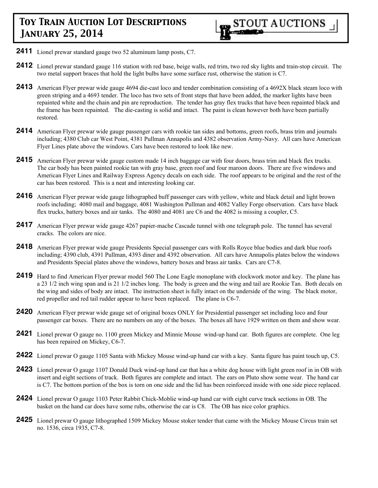- **2411** Lionel prewar standard gauge two 52 aluminum lamp posts, C7.
- **2412** Lionel prewar standard gauge 116 station with red base, beige walls, red trim, two red sky lights and train-stop circuit. The two metal support braces that hold the light bulbs have some surface rust, otherwise the station is C7.
- **2413** American Flyer prewar wide gauge 4694 die-cast loco and tender combination consisting of a 4692X black steam loco with green striping and a 4693 tender. The loco has two sets of front steps that have been added, the marker lights have been repainted white and the chain and pin are reproduction. The tender has gray flex trucks that have been repainted black and the frame has been repainted. The die-casting is solid and intact. The paint is clean however both have been partially restored.
- **2414** American Flyer prewar wide gauge passenger cars with rookie tan sides and bottoms, green roofs, brass trim and journals including; 4380 Club car West Point, 4381 Pullman Annapolis and 4382 observation Army-Navy. All cars have American Flyer Lines plate above the windows. Cars have been restored to look like new.
- **2415** American Flyer prewar wide gauge custom made 14 inch baggage car with four doors, brass trim and black flex trucks. The car body has been painted rookie tan with gray base, green roof and four maroon doors. There are five windows and American Flyer Lines and Railway Express Agency decals on each side. The roof appears to be original and the rest of the car has been restored. This is a neat and interesting looking car.
- **2416** American Flyer prewar wide gauge lithographed buff passenger cars with yellow, white and black detail and light brown roofs including; 4080 mail and baggage, 4081 Washington Pullman and 4082 Valley Forge observation. Cars have black flex trucks, battery boxes and air tanks. The 4080 and 4081 are C6 and the 4082 is missing a coupler, C5.
- **2417** American Flyer prewar wide gauge 4267 papier-mache Cascade tunnel with one telegraph pole. The tunnel has several cracks. The colors are nice.
- **2418** American Flyer prewar wide gauge Presidents Special passenger cars with Rolls Royce blue bodies and dark blue roofs including; 4390 club, 4391 Pullman, 4393 diner and 4392 observation. All cars have Annapolis plates below the windows and Presidents Special plates above the windows, battery boxes and brass air tanks. Cars are C7-8.
- **2419** Hard to find American Flyer prewar model 560 The Lone Eagle monoplane with clockwork motor and key. The plane has a 23 1/2 inch wing span and is 21 1/2 inches long. The body is green and the wing and tail are Rookie Tan. Both decals on the wing and sides of body are intact. The instruction sheet is fully intact on the underside of the wing. The black motor, red propeller and red tail rudder appear to have been replaced. The plane is C6-7.
- **2420** American Flyer prewar wide gauge set of original boxes ONLY for Presidential passenger set including loco and four passenger car boxes. There are no numbers on any of the boxes. The boxes all have 1929 written on them and show wear.
- **2421** Lionel prewar O gauge no. 1100 green Mickey and Minnie Mouse wind-up hand car. Both figures are complete. One leg has been repaired on Mickey, C6-7.
- **2422** Lionel prewar O gauge 1105 Santa with Mickey Mouse wind-up hand car with a key. Santa figure has paint touch up, C5.
- **2423** Lionel prewar O gauge 1107 Donald Duck wind-up hand car that has a white dog house with light green roof in in OB with insert and eight sections of track. Both figures are complete and intact. The ears on Pluto show some wear. The hand car is C7. The bottom portion of the box is torn on one side and the lid has been reinforced inside with one side piece replaced.
- **2424** Lionel prewar O gauge 1103 Peter Rabbit Chick-Moblie wind-up hand car with eight curve track sections in OB. The basket on the hand car does have some rubs, otherwise the car is C8. The OB has nice color graphics.
- **2425** Lionel prewar O gauge lithographed 1509 Mickey Mouse stoker tender that came with the Mickey Mouse Circus train set no. 1536, circa 1935, C7-8.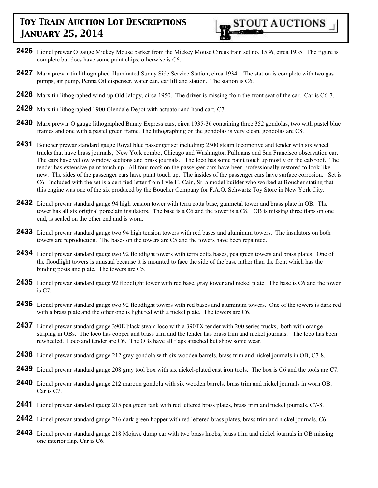- **2426** Lionel prewar O gauge Mickey Mouse barker from the Mickey Mouse Circus train set no. 1536, circa 1935. The figure is complete but does have some paint chips, otherwise is C6.
- **2427** Marx prewar tin lithographed illuminated Sunny Side Service Station, circa 1934. The station is complete with two gas pumps, air pump, Penna Oil dispenser, water can, car lift and station. The station is C6.
- **2428** Marx tin lithographed wind-up Old Jalopy, circa 1950. The driver is missing from the front seat of the car. Car is C6-7.
- **2429** Marx tin lithographed 1900 Glendale Depot with actuator and hand cart, C7.
- **2430** Marx prewar O gauge lithographed Bunny Express cars, circa 1935-36 containing three 352 gondolas, two with pastel blue frames and one with a pastel green frame. The lithographing on the gondolas is very clean, gondolas are C8.
- **2431** Boucher prewar standard gauge Royal blue passenger set including; 2500 steam locomotive and tender with six wheel trucks that have brass journals, New York combo, Chicago and Washington Pullmans and San Francisco observation car. The cars have yellow window sections and brass journals. The loco has some paint touch up mostly on the cab roof. The tender has extensive paint touch up. All four roofs on the passenger cars have been professionally restored to look like new. The sides of the passenger cars have paint touch up. The insides of the passenger cars have surface corrosion. Set is C6. Included with the set is a certified letter from Lyle H. Cain, Sr. a model builder who worked at Boucher stating that this engine was one of the six produced by the Boucher Company for F.A.O. Schwartz Toy Store in New York City.
- **2432** Lionel prewar standard gauge 94 high tension tower with terra cotta base, gunmetal tower and brass plate in OB. The tower has all six original porcelain insulators. The base is a C6 and the tower is a C8. OB is missing three flaps on one end, is sealed on the other end and is worn.
- **2433** Lionel prewar standard gauge two 94 high tension towers with red bases and aluminum towers. The insulators on both towers are reproduction. The bases on the towers are C5 and the towers have been repainted.
- **2434** Lionel prewar standard gauge two 92 floodlight towers with terra cotta bases, pea green towers and brass plates. One of the floodlight towers is unusual because it is mounted to face the side of the base rather than the front which has the binding posts and plate. The towers are C5.
- **2435** Lionel prewar standard gauge 92 floodlight tower with red base, gray tower and nickel plate. The base is C6 and the tower is C7.
- **2436** Lionel prewar standard gauge two 92 floodlight towers with red bases and aluminum towers. One of the towers is dark red with a brass plate and the other one is light red with a nickel plate. The towers are C6.
- **2437** Lionel prewar standard gauge 390E black steam loco with a 390TX tender with 200 series trucks, both with orange striping in OBs. The loco has copper and brass trim and the tender has brass trim and nickel journals. The loco has been rewheeled. Loco and tender are C6. The OBs have all flaps attached but show some wear.
- **2438** Lionel prewar standard gauge 212 gray gondola with six wooden barrels, brass trim and nickel journals in OB, C7-8.
- **2439** Lionel prewar standard gauge 208 gray tool box with six nickel-plated cast iron tools. The box is C6 and the tools are C7.
- **2440** Lionel prewar standard gauge 212 maroon gondola with six wooden barrels, brass trim and nickel journals in worn OB. Car is C7.
- **2441** Lionel prewar standard gauge 215 pea green tank with red lettered brass plates, brass trim and nickel journals, C7-8.
- **2442** Lionel prewar standard gauge 216 dark green hopper with red lettered brass plates, brass trim and nickel journals, C6.
- **2443** Lionel prewar standard gauge 218 Mojave dump car with two brass knobs, brass trim and nickel journals in OB missing one interior flap. Car is C6.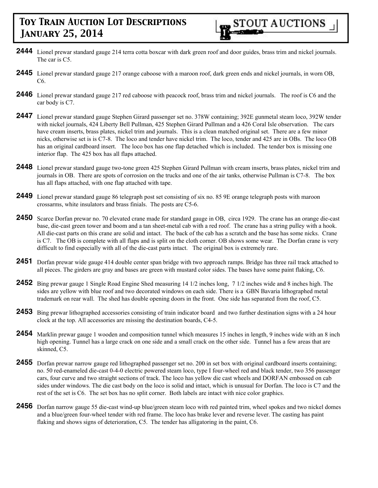- **2444** Lionel prewar standard gauge 214 terra cotta boxcar with dark green roof and door guides, brass trim and nickel journals. The car is C5.
- **2445** Lionel prewar standard gauge 217 orange caboose with a maroon roof, dark green ends and nickel journals, in worn OB, C6.
- **2446** Lionel prewar standard gauge 217 red caboose with peacock roof, brass trim and nickel journals. The roof is C6 and the car body is C7.
- **2447** Lionel prewar standard gauge Stephen Girard passenger set no. 378W containing; 392E gunmetal steam loco, 392W tender with nickel journals, 424 Liberty Bell Pullman, 425 Stephen Girard Pullman and a 426 Coral Isle observation. The cars have cream inserts, brass plates, nickel trim and journals. This is a clean matched original set. There are a few minor nicks, otherwise set is is C7-8. The loco and tender have nickel trim. The loco, tender and 425 are in OBs. The loco OB has an original cardboard insert. The loco box has one flap detached which is included. The tender box is missing one interior flap. The 425 box has all flaps attached.
- **2448** Lionel prewar standard gauge two-tone green 425 Stephen Girard Pullman with cream inserts, brass plates, nickel trim and journals in OB. There are spots of corrosion on the trucks and one of the air tanks, otherwise Pullman is C7-8. The box has all flaps attached, with one flap attached with tape.
- **2449** Lionel prewar standard gauge 86 telegraph post set consisting of six no. 85 9E orange telegraph posts with maroon crossarms, white insulators and brass finials. The posts are C5-6.
- **2450** Scarce Dorfan prewar no. 70 elevated crane made for standard gauge in OB, circa 1929. The crane has an orange die-cast base, die-cast green tower and boom and a tan sheet-metal cab with a red roof. The crane has a string pulley with a hook. All die-cast parts on this crane are solid and intact. The back of the cab has a scratch and the base has some nicks. Crane is C7. The OB is complete with all flaps and is split on the cloth corner. OB shows some wear. The Dorfan crane is very difficult to find especially with all of the die-cast parts intact. The original box is extremely rare.
- **2451** Dorfan prewar wide gauge 414 double center span bridge with two approach ramps. Bridge has three rail track attached to all pieces. The girders are gray and bases are green with mustard color sides. The bases have some paint flaking, C6.
- **2452** Bing prewar gauge 1 Single Road Engine Shed measuring 14 1/2 inches long, 7 1/2 inches wide and 8 inches high. The sides are yellow with blue roof and two decorated windows on each side. There is a GBN Bavaria lithographed metal trademark on rear wall. The shed has double opening doors in the front. One side has separated from the roof, C5.
- **2453** Bing prewar lithographed accessories consisting of train indicator board and two further destination signs with a 24 hour clock at the top. All accessories are missing the destination boards, C4-5.
- **2454** Marklin prewar gauge 1 wooden and composition tunnel which measures 15 inches in length, 9 inches wide with an 8 inch high opening. Tunnel has a large crack on one side and a small crack on the other side. Tunnel has a few areas that are skinned, C5.
- **2455** Dorfan prewar narrow gauge red lithographed passenger set no. 200 in set box with original cardboard inserts containing; no. 50 red-enameled die-cast 0-4-0 electric powered steam loco, type I four-wheel red and black tender, two 356 passenger cars, four curve and two straight sections of track. The loco has yellow die cast wheels and DORFAN embossed on cab sides under windows. The die cast body on the loco is solid and intact, which is unusual for Dorfan. The loco is C7 and the rest of the set is C6. The set box has no split corner. Both labels are intact with nice color graphics.
- **2456** Dorfan narrow gauge 55 die-cast wind-up blue/green steam loco with red painted trim, wheel spokes and two nickel domes and a blue/green four-wheel tender with red frame. The loco has brake lever and reverse lever. The casting has paint flaking and shows signs of deterioration, C5. The tender has alligatoring in the paint, C6.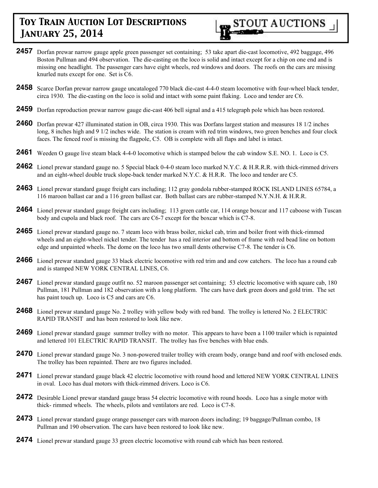

- **2457** Dorfan prewar narrow gauge apple green passenger set containing; 53 take apart die-cast locomotive, 492 baggage, 496 Boston Pullman and 494 observation. The die-casting on the loco is solid and intact except for a chip on one end and is missing one headlight. The passenger cars have eight wheels, red windows and doors. The roofs on the cars are missing knurled nuts except for one. Set is C6.
- **2458** Scarce Dorfan prewar narrow gauge uncataloged 770 black die-cast 4-4-0 steam locomotive with four-wheel black tender, circa 1930. The die-casting on the loco is solid and intact with some paint flaking. Loco and tender are C6.
- **2459** Dorfan reproduction prewar narrow gauge die-cast 406 bell signal and a 415 telegraph pole which has been restored.
- **2460** Dorfan prewar 427 illuminated station in OB, circa 1930. This was Dorfans largest station and measures 18 1/2 inches long, 8 inches high and 9 1/2 inches wide. The station is cream with red trim windows, two green benches and four clock faces. The fenced roof is missing the flagpole, C5. OB is complete with all flaps and label is intact.
- **2461** Weeden O gauge live steam black 4-4-0 locomotive which is stamped below the cab window S.E. NO. 1. Loco is C5.
- **2462** Lionel prewar standard gauge no. 5 Special black 0-4-0 steam loco marked N.Y.C. & H.R.R.R. with thick-rimmed drivers and an eight-wheel double truck slope-back tender marked N.Y.C. & H.R.R. The loco and tender are C5.
- **2463** Lionel prewar standard gauge freight cars including; 112 gray gondola rubber-stamped ROCK ISLAND LINES 65784, a 116 maroon ballast car and a 116 green ballast car. Both ballast cars are rubber-stamped N.Y.N.H. & H.R.R.
- **2464** Lionel prewar standard gauge freight cars including; 113 green cattle car, 114 orange boxcar and 117 caboose with Tuscan body and cupola and black roof. The cars are C6-7 except for the boxcar which is C7-8.
- **2465** Lionel prewar standard gauge no. 7 steam loco with brass boiler, nickel cab, trim and boiler front with thick-rimmed wheels and an eight-wheel nickel tender. The tender has a red interior and bottom of frame with red bead line on bottom edge and unpainted wheels. The dome on the loco has two small dents otherwise C7-8. The tender is C6.
- **2466** Lionel prewar standard gauge 33 black electric locomotive with red trim and and cow catchers. The loco has a round cab and is stamped NEW YORK CENTRAL LINES, C6.
- **2467** Lionel prewar standard gauge outfit no. 52 maroon passenger set containing; 53 electric locomotive with square cab, 180 Pullman, 181 Pullman and 182 observation with a long platform. The cars have dark green doors and gold trim. The set has paint touch up. Loco is C5 and cars are C6.
- **2468** Lionel prewar standard gauge No. 2 trolley with yellow body with red band. The trolley is lettered No. 2 ELECTRIC RAPID TRANSIT and has been restored to look like new.
- **2469** Lionel prewar standard gauge summer trolley with no motor. This appears to have been a 1100 trailer which is repainted and lettered 101 ELECTRIC RAPID TRANSIT. The trolley has five benches with blue ends.
- **2470** Lionel prewar standard gauge No. 3 non-powered trailer trolley with cream body, orange band and roof with enclosed ends. The trolley has been repainted. There are two figures included.
- **2471** Lionel prewar standard gauge black 42 electric locomotive with round hood and lettered NEW YORK CENTRAL LINES in oval. Loco has dual motors with thick-rimmed drivers. Loco is C6.
- **2472** Desirable Lionel prewar standard gauge brass 54 electric locomotive with round hoods. Loco has a single motor with thick- rimmed wheels. The wheels, pilots and ventilators are red. Loco is C7-8.
- **2473** Lionel prewar standard gauge orange passenger cars with maroon doors including; 19 baggage/Pullman combo, 18 Pullman and 190 observation. The cars have been restored to look like new.
- **2474** Lionel prewar standard gauge 33 green electric locomotive with round cab which has been restored.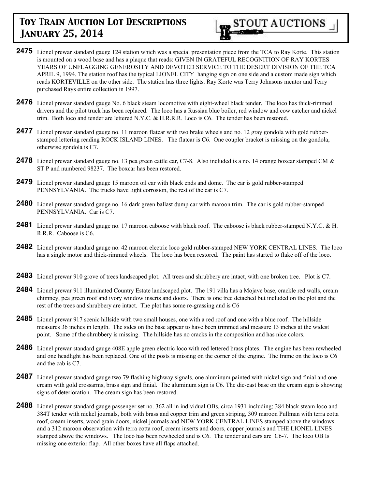

- **2475** Lionel prewar standard gauge 124 station which was a special presentation piece from the TCA to Ray Korte. This station is mounted on a wood base and has a plaque that reads: GIVEN IN GRATEFUL RECOGNITION OF RAY KORTES YEARS OF UNFLAGGING GENEROSITY AND DEVOTED SERVICE TO THE DESERT DIVISION OF THE TCA APRIL 9, 1994. The station roof has the typical LIONEL CITY hanging sign on one side and a custom made sign which reads KORTEVILLE on the other side. The station has three lights. Ray Korte was Terry Johnsons mentor and Terry purchased Rays entire collection in 1997.
- **2476** Lionel prewar standard gauge No. 6 black steam locomotive with eight-wheel black tender. The loco has thick-rimmed drivers and the pilot truck has been replaced. The loco has a Russian blue boiler, red window and cow catcher and nickel trim. Both loco and tender are lettered N.Y.C. & H.R.R.R. Loco is C6. The tender has been restored.
- 2477 Lionel prewar standard gauge no. 11 maroon flatcar with two brake wheels and no. 12 gray gondola with gold rubberstamped lettering reading ROCK ISLAND LINES. The flatcar is C6. One coupler bracket is missing on the gondola, otherwise gondola is C7.
- **2478** Lionel prewar standard gauge no. 13 pea green cattle car, C7-8. Also included is a no. 14 orange boxcar stamped CM & ST P and numbered 98237. The boxcar has been restored.
- **2479** Lionel prewar standard gauge 15 maroon oil car with black ends and dome. The car is gold rubber-stamped PENNSYLVANIA. The trucks have light corrosion, the rest of the car is C7.
- **2480** Lionel prewar standard gauge no. 16 dark green ballast dump car with maroon trim. The car is gold rubber-stamped PENNSYLVANIA. Car is C7.
- **2481** Lionel prewar standard gauge no. 17 maroon caboose with black roof. The caboose is black rubber-stamped N.Y.C. & H. R.R.R. Caboose is C6.
- **2482** Lionel prewar standard gauge no. 42 maroon electric loco gold rubber-stamped NEW YORK CENTRAL LINES. The loco has a single motor and thick-rimmed wheels. The loco has been restored. The paint has started to flake off of the loco.
- **2483** Lionel prewar 910 grove of trees landscaped plot. All trees and shrubbery are intact, with one broken tree. Plot is C7.
- **2484** Lionel prewar 911 illuminated Country Estate landscaped plot. The 191 villa has a Mojave base, crackle red walls, cream chimney, pea green roof and ivory window inserts and doors. There is one tree detached but included on the plot and the rest of the trees and shrubbery are intact. The plot has some re-grassing and is C6
- **2485** Lionel prewar 917 scenic hillside with two small houses, one with a red roof and one with a blue roof. The hillside measures 36 inches in length. The sides on the base appear to have been trimmed and measure 13 inches at the widest point. Some of the shrubbery is missing. The hillside has no cracks in the composition and has nice colors.
- **2486** Lionel prewar standard gauge 408E apple green electric loco with red lettered brass plates. The engine has been rewheeled and one headlight has been replaced. One of the posts is missing on the corner of the engine. The frame on the loco is C6 and the cab is C7.
- **2487** Lionel prewar standard gauge two 79 flashing highway signals, one aluminum painted with nickel sign and finial and one cream with gold crossarms, brass sign and finial. The aluminum sign is C6. The die-cast base on the cream sign is showing signs of deterioration. The cream sign has been restored.
- **2488** Lionel prewar standard gauge passenger set no. 362 all in individual OBs, circa 1931 including; 384 black steam loco and 384T tender with nickel journals, both with brass and copper trim and green striping, 309 maroon Pullman with terra cotta roof, cream inserts, wood grain doors, nickel journals and NEW YORK CENTRAL LINES stamped above the windows and a 312 maroon observation with terra cotta roof, cream inserts and doors, copper journals and THE LIONEL LINES stamped above the windows. The loco has been rewheeled and is C6. The tender and cars are C6-7. The loco OB Is missing one exterior flap. All other boxes have all flaps attached.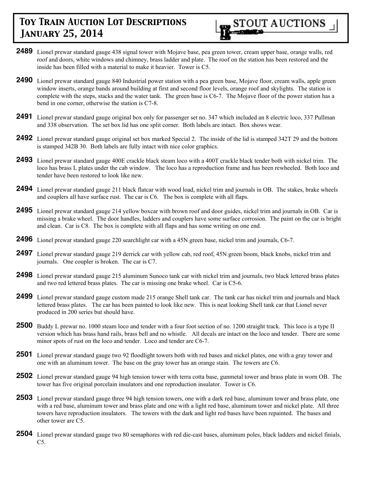

- **2489** Lionel prewar standard gauge 438 signal tower with Mojave base, pea green tower, cream upper base, orange walls, red roof and doors, white windows and chimney, brass ladder and plate. The roof on the station has been restored and the inside has been filled with a material to make it heavier. Tower is C5.
- **2490** Lionel prewar standard gauge 840 Industrial power station with a pea green base, Mojave floor, cream walls, apple green window inserts, orange bands around building at first and second floor levels, orange roof and skylights. The station is complete with the steps, stacks and the water tank. The green base is C6-7. The Mojave floor of the power station has a bend in one corner, otherwise the station is C7-8.
- **2491** Lionel prewar standard gauge original box only for passenger set no. 347 which included an 8 electric loco, 337 Pullman and 338 observation. The set box lid has one split corner. Both labels are intact. Box shows wear.
- **2492** Lionel prewar standard gauge original set box marked Special 2. The inside of the lid is stamped 342T 29 and the bottom is stamped 342B 30. Both labels are fully intact with nice color graphics.
- **2493** Lionel prewar standard gauge 400E crackle black steam loco with a 400T crackle black tender both with nickel trim. The loco has brass L plates under the cab window. The loco has a reproduction frame and has been rewheeled. Both loco and tender have been restored to look like new.
- **2494** Lionel prewar standard gauge 211 black flatcar with wood load, nickel trim and journals in OB. The stakes, brake wheels and couplers all have surface rust. The car is C6. The box is complete with all flaps.
- **2495** Lionel prewar standard gauge 214 yellow boxcar with brown roof and door guides, nickel trim and journals in OB. Car is missing a brake wheel. The door handles, ladders and couplers have some surface corrosion. The paint on the car is bright and clean. Car is C8. The box is complete with all flaps and has some writing on one end.
- **2496** Lionel prewar standard gauge 220 searchlight car with a 45N green base, nickel trim and journals, C6-7.
- **2497** Lionel prewar standard gauge 219 derrick car with yellow cab, red roof, 45N green boom, black knobs, nickel trim and journals. One coupler is broken. The car is C7.
- **2498** Lionel prewar standard gauge 215 aluminum Sunoco tank car with nickel trim and journals, two black lettered brass plates and two red lettered brass plates. The car is missing one brake wheel. Car is C5-6.
- **2499** Lionel prewar standard gauge custom made 215 orange Shell tank car. The tank car has nickel trim and journals and black lettered brass plates. The car has been painted to look like new. This is neat looking Shell tank car that Lionel never produced in 200 series but should have.
- **2500** Buddy L prewar no. 1000 steam loco and tender with a four foot section of no. 1200 straight track. This loco is a type II version which has brass hand rails, brass bell and no whistle. All decals are intact on the loco and tender. There are some minor spots of rust on the loco and tender. Loco and tender are C6-7.
- **2501** Lionel prewar standard gauge two 92 floodlight towers both with red bases and nickel plates, one with a gray tower and one with an aluminum tower. The base on the gray tower has an orange stain. The towers are C6.
- **2502** Lionel prewar standard gauge 94 high tension tower with terra cotta base, gunmetal tower and brass plate in worn OB. The tower has five original porcelain insulators and one reproduction insulator. Tower is C6.
- **2503** Lionel prewar standard gauge three 94 high tension towers, one with a dark red base, aluminum tower and brass plate, one with a red base, aluminum tower and brass plate and one with a light red base, aluminum tower and nickel plate. All three towers have reproduction insulators. The towers with the dark and light red bases have been repainted. The bases and other tower are C5.
- **2504** Lionel prewar standard gauge two 80 semaphores with red die-cast bases, aluminum poles, black ladders and nickel finials,  $C5.$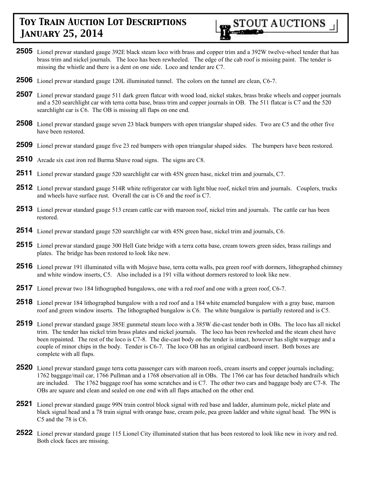

- **2505** Lionel prewar standard gauge 392E black steam loco with brass and copper trim and a 392W twelve-wheel tender that has brass trim and nickel journals. The loco has been rewheeled. The edge of the cab roof is missing paint. The tender is missing the whistle and there is a dent on one side. Loco and tender are C7.
- **2506** Lionel prewar standard gauge 120L illuminated tunnel. The colors on the tunnel are clean, C6-7.
- **2507** Lionel prewar standard gauge 511 dark green flatcar with wood load, nickel stakes, brass brake wheels and copper journals and a 520 searchlight car with terra cotta base, brass trim and copper journals in OB. The 511 flatcar is C7 and the 520 searchlight car is C6. The OB is missing all flaps on one end.
- **2508** Lionel prewar standard gauge seven 23 black bumpers with open triangular shaped sides. Two are C5 and the other five have been restored.
- **2509** Lionel prewar standard gauge five 23 red bumpers with open triangular shaped sides. The bumpers have been restored.
- **2510** Arcade six cast iron red Burma Shave road signs. The signs are C8.
- **2511** Lionel prewar standard gauge 520 searchlight car with 45N green base, nickel trim and journals, C7.
- **2512** Lionel prewar standard gauge 514R white refrigerator car with light blue roof, nickel trim and journals. Couplers, trucks and wheels have surface rust. Overall the car is C6 and the roof is C7.
- **2513** Lionel prewar standard gauge 513 cream cattle car with maroon roof, nickel trim and journals. The cattle car has been restored.
- **2514** Lionel prewar standard gauge 520 searchlight car with 45N green base, nickel trim and journals, C6.
- **2515** Lionel prewar standard gauge 300 Hell Gate bridge with a terra cotta base, cream towers green sides, brass railings and plates. The bridge has been restored to look like new.
- **2516** Lionel prewar 191 illuminated villa with Mojave base, terra cotta walls, pea green roof with dormers, lithographed chimney and white window inserts, C5. Also included is a 191 villa without dormers restored to look like new.
- **2517** Lionel prewar two 184 lithographed bungalows, one with a red roof and one with a green roof, C6-7.
- **2518** Lionel prewar 184 lithographed bungalow with a red roof and a 184 white enameled bungalow with a gray base, maroon roof and green window inserts. The lithographed bungalow is C6. The white bungalow is partially restored and is C5.
- **2519** Lionel prewar standard gauge 385E gunmetal steam loco with a 385W die-cast tender both in OBs. The loco has all nickel trim. The tender has nickel trim brass plates and nickel journals. The loco has been rewheeled and the steam chest have been repainted. The rest of the loco is C7-8. The die-cast body on the tender is intact, however has slight warpage and a couple of minor chips in the body. Tender is C6-7. The loco OB has an original cardboard insert. Both boxes are complete with all flaps.
- **2520** Lionel prewar standard gauge terra cotta passenger cars with maroon roofs, cream inserts and copper journals including; 1762 baggage/mail car, 1766 Pullman and a 1768 observation all in OBs. The 1766 car has four detached handrails which are included. The 1762 baggage roof has some scratches and is C7. The other two cars and baggage body are C7-8. The OBs are square and clean and sealed on one end with all flaps attached on the other end.
- **2521** Lionel prewar standard gauge 99N train control block signal with red base and ladder, aluminum pole, nickel plate and black signal head and a 78 train signal with orange base, cream pole, pea green ladder and white signal head. The 99N is C5 and the 78 is C6.
- **2522** Lionel prewar standard gauge 115 Lionel City illuminated station that has been restored to look like new in ivory and red. Both clock faces are missing.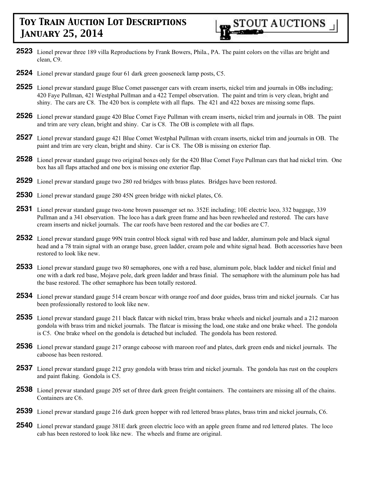

- **2523** Lionel prewar three 189 villa Reproductions by Frank Bowers, Phila., PA. The paint colors on the villas are bright and clean, C9.
- **2524** Lionel prewar standard gauge four 61 dark green gooseneck lamp posts, C5.
- **2525** Lionel prewar standard gauge Blue Comet passenger cars with cream inserts, nickel trim and journals in OBs including; 420 Faye Pullman, 421 Westphal Pullman and a 422 Tempel observation. The paint and trim is very clean, bright and shiny. The cars are C8. The 420 box is complete with all flaps. The 421 and 422 boxes are missing some flaps.
- **2526** Lionel prewar standard gauge 420 Blue Comet Faye Pullman with cream inserts, nickel trim and journals in OB. The paint and trim are very clean, bright and shiny. Car is C8. The OB is complete with all flaps.
- **2527** Lionel prewar standard gauge 421 Blue Comet Westphal Pullman with cream inserts, nickel trim and journals in OB. The paint and trim are very clean, bright and shiny. Car is C8. The OB is missing on exterior flap.
- **2528** Lionel prewar standard gauge two original boxes only for the 420 Blue Comet Faye Pullman cars that had nickel trim. One box has all flaps attached and one box is missing one exterior flap.
- **2529** Lionel prewar standard gauge two 280 red bridges with brass plates. Bridges have been restored.
- **2530** Lionel prewar standard gauge 280 45N green bridge with nickel plates, C6.
- **2531** Lionel prewar standard gauge two-tone brown passenger set no. 352E including; 10E electric loco, 332 baggage, 339 Pullman and a 341 observation. The loco has a dark green frame and has been rewheeled and restored. The cars have cream inserts and nickel journals. The car roofs have been restored and the car bodies are C7.
- **2532** Lionel prewar standard gauge 99N train control block signal with red base and ladder, aluminum pole and black signal head and a 78 train signal with an orange base, green ladder, cream pole and white signal head. Both accessories have been restored to look like new.
- **2533** Lionel prewar standard gauge two 80 semaphores, one with a red base, aluminum pole, black ladder and nickel finial and one with a dark red base, Mojave pole, dark green ladder and brass finial. The semaphore with the aluminum pole has had the base restored. The other semaphore has been totally restored.
- **2534** Lionel prewar standard gauge 514 cream boxcar with orange roof and door guides, brass trim and nickel journals. Car has been professionally restored to look like new.
- **2535** Lionel prewar standard gauge 211 black flatcar with nickel trim, brass brake wheels and nickel journals and a 212 maroon gondola with brass trim and nickel journals. The flatcar is missing the load, one stake and one brake wheel. The gondola is C5. One brake wheel on the gondola is detached but included. The gondola has been restored.
- **2536** Lionel prewar standard gauge 217 orange caboose with maroon roof and plates, dark green ends and nickel journals. The caboose has been restored.
- **2537** Lionel prewar standard gauge 212 gray gondola with brass trim and nickel journals. The gondola has rust on the couplers and paint flaking. Gondola is C5.
- **2538** Lionel prewar standard gauge 205 set of three dark green freight containers. The containers are missing all of the chains. Containers are C6.
- **2539** Lionel prewar standard gauge 216 dark green hopper with red lettered brass plates, brass trim and nickel journals, C6.
- **2540** Lionel prewar standard gauge 381E dark green electric loco with an apple green frame and red lettered plates. The loco cab has been restored to look like new. The wheels and frame are original.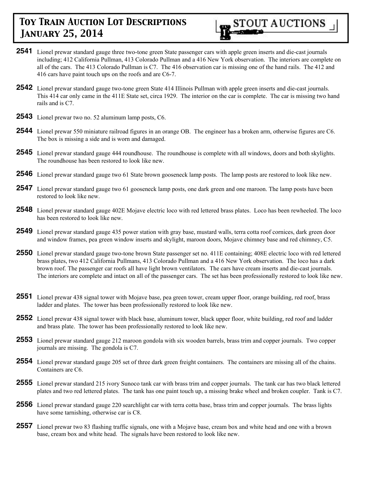

- **2541** Lionel prewar standard gauge three two-tone green State passenger cars with apple green inserts and die-cast journals including; 412 California Pullman, 413 Colorado Pullman and a 416 New York observation. The interiors are complete on all of the cars. The 413 Colorado Pullman is C7. The 416 observation car is missing one of the hand rails. The 412 and 416 cars have paint touch ups on the roofs and are C6-7.
- **2542** Lionel prewar standard gauge two-tone green State 414 Illinois Pullman with apple green inserts and die-cast journals. This 414 car only came in the 411E State set, circa 1929. The interior on the car is complete. The car is missing two hand rails and is C7.
- **2543** Lionel prewar two no. 52 aluminum lamp posts, C6.
- **2544** Lionel prewar 550 miniature railroad figures in an orange OB. The engineer has a broken arm, otherwise figures are C6. The box is missing a side and is worn and damaged.
- **2545** Lionel prewar standard gauge 444 roundhouse. The roundhouse is complete with all windows, doors and both skylights. The roundhouse has been restored to look like new.
- **2546** Lionel prewar standard gauge two 61 State brown gooseneck lamp posts. The lamp posts are restored to look like new.
- **2547** Lionel prewar standard gauge two 61 gooseneck lamp posts, one dark green and one maroon. The lamp posts have been restored to look like new.
- **2548** Lionel prewar standard gauge 402E Mojave electric loco with red lettered brass plates. Loco has been rewheeled. The loco has been restored to look like new.
- **2549** Lionel prewar standard gauge 435 power station with gray base, mustard walls, terra cotta roof cornices, dark green door and window frames, pea green window inserts and skylight, maroon doors, Mojave chimney base and red chimney, C5.
- **2550** Lionel prewar standard gauge two-tone brown State passenger set no. 411E containing; 408E electric loco with red lettered brass plates, two 412 California Pullmans, 413 Colorado Pullman and a 416 New York observation. The loco has a dark brown roof. The passenger car roofs all have light brown ventilators. The cars have cream inserts and die-cast journals. The interiors are complete and intact on all of the passenger cars. The set has been professionally restored to look like new.
- **2551** Lionel prewar 438 signal tower with Mojave base, pea green tower, cream upper floor, orange building, red roof, brass ladder and plates. The tower has been professionally restored to look like new.
- **2552** Lionel prewar 438 signal tower with black base, aluminum tower, black upper floor, white building, red roof and ladder and brass plate. The tower has been professionally restored to look like new.
- **2553** Lionel prewar standard gauge 212 maroon gondola with six wooden barrels, brass trim and copper journals. Two copper journals are missing. The gondola is C7.
- **2554** Lionel prewar standard gauge 205 set of three dark green freight containers. The containers are missing all of the chains. Containers are C6.
- **2555** Lionel prewar standard 215 ivory Sunoco tank car with brass trim and copper journals. The tank car has two black lettered plates and two red lettered plates. The tank has one paint touch up, a missing brake wheel and broken coupler. Tank is C7.
- **2556** Lionel prewar standard gauge 220 searchlight car with terra cotta base, brass trim and copper journals. The brass lights have some tarnishing, otherwise car is C8.
- **2557** Lionel prewar two 83 flashing traffic signals, one with a Mojave base, cream box and white head and one with a brown base, cream box and white head. The signals have been restored to look like new.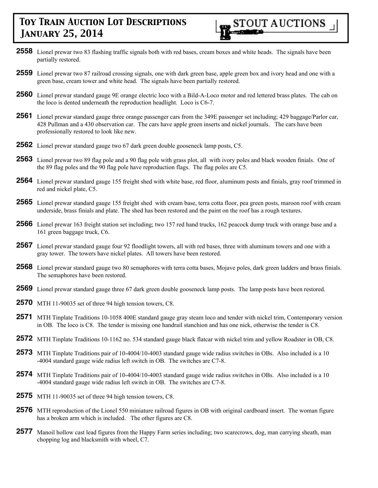- **2558** Lionel prewar two 83 flashing traffic signals both with red bases, cream boxes and white heads. The signals have been partially restored.
- **2559** Lionel prewar two 87 railroad crossing signals, one with dark green base, apple green box and ivory head and one with a green base, cream tower and white head. The signals have been partially restored.
- **2560** Lionel prewar standard gauge 9E orange electric loco with a Bild-A-Loco motor and red lettered brass plates. The cab on the loco is dented underneath the reproduction headlight. Loco is C6-7.
- **2561** Lionel prewar standard gauge three orange passenger cars from the 349E passenger set including; 429 baggage/Parlor car, 428 Pullman and a 430 observation car. The cars have apple green inserts and nickel journals. The cars have been professionally restored to look like new.
- **2562** Lionel prewar standard gauge two 67 dark green double gooseneck lamp posts, C5.
- **2563** Lionel prewar two 89 flag pole and a 90 flag pole with grass plot, all with ivory poles and black wooden finials. One of the 89 flag poles and the 90 flag pole have reproduction flags. The flag poles are C5.
- **2564** Lionel prewar standard gauge 155 freight shed with white base, red floor, aluminum posts and finials, gray roof trimmed in red and nickel plate, C5.
- **2565** Lionel prewar standard gauge 155 freight shed with cream base, terra cotta floor, pea green posts, maroon roof with cream underside, brass finials and plate. The shed has been restored and the paint on the roof has a rough textures.
- **2566** Lionel prewar 163 freight station set including; two 157 red hand trucks, 162 peacock dump truck with orange base and a 161 green baggage truck, C6.
- **2567** Lionel prewar standard gauge four 92 floodlight towers, all with red bases, three with aluminum towers and one with a gray tower. The towers have nickel plates. All towers have been restored.
- **2568** Lionel prewar standard gauge two 80 semaphores with terra cotta bases, Mojave poles, dark green ladders and brass finials. The semaphores have been restored.
- **2569** Lionel prewar standard gauge three 67 dark green double gooseneck lamp posts. The lamp posts have been restored.
- **2570** MTH 11-90035 set of three 94 high tension towers, C8.
- **2571** MTH Tinplate Traditions 10-1058 400E standard gauge gray steam loco and tender with nickel trim, Contemporary version in OB. The loco is C8. The tender is missing one handrail stanchion and has one nick, otherwise the tender is C8.
- **2572** MTH Tinplate Traditions 10-1162 no. 534 standard gauge black flatcar with nickel trim and yellow Roadster in OB, C8.
- **2573** MTH Tinplate Traditions pair of 10-4004/10-4003 standard gauge wide radius switches in OBs. Also included is a 10 -4004 standard gauge wide radius left switch in OB. The switches are C7-8.
- **2574** MTH Tinplate Traditions pair of 10-4004/10-4003 standard gauge wide radius switches in OBs. Also included is a 10 -4004 standard gauge wide radius left switch in OB. The switches are C7-8.
- **2575** MTH 11-90035 set of three 94 high tension towers, C8.
- **2576** MTH reproduction of the Lionel 550 miniature railroad figures in OB with original cardboard insert. The woman figure has a broken arm which is included. The other figures are C8.
- **2577** Manoil hollow cast lead figures from the Happy Farm series including; two scarecrows, dog, man carrying sheath, man chopping log and blacksmith with wheel, C7.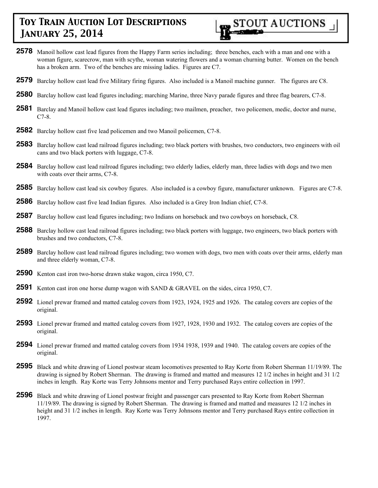

- **2578** Manoil hollow cast lead figures from the Happy Farm series including; three benches, each with a man and one with a woman figure, scarecrow, man with scythe, woman watering flowers and a woman churning butter. Women on the bench has a broken arm. Two of the benches are missing ladies. Figures are C7.
- **2579** Barclay hollow cast lead five Military firing figures. Also included is a Manoil machine gunner. The figures are C8.
- **2580** Barclay hollow cast lead figures including; marching Marine, three Navy parade figures and three flag bearers, C7-8.
- **2581** Barclay and Manoil hollow cast lead figures including; two mailmen, preacher, two policemen, medic, doctor and nurse, C7-8.
- **2582** Barclay hollow cast five lead policemen and two Manoil policemen, C7-8.
- **2583** Barclay hollow cast lead railroad figures including; two black porters with brushes, two conductors, two engineers with oil cans and two black porters with luggage, C7-8.
- **2584** Barclay hollow cast lead railroad figures including; two elderly ladies, elderly man, three ladies with dogs and two men with coats over their arms, C7-8.
- **2585** Barclay hollow cast lead six cowboy figures. Also included is a cowboy figure, manufacturer unknown. Figures are C7-8.
- **2586** Barclay hollow cast five lead Indian figures. Also included is a Grey Iron Indian chief, C7-8.
- **2587** Barclay hollow cast lead figures including; two Indians on horseback and two cowboys on horseback, C8.
- **2588** Barclay hollow cast lead railroad figures including; two black porters with luggage, two engineers, two black porters with brushes and two conductors, C7-8.
- **2589** Barclay hollow cast lead railroad figures including; two women with dogs, two men with coats over their arms, elderly man and three elderly woman, C7-8.
- **2590** Kenton cast iron two-horse drawn stake wagon, circa 1950, C7.
- **2591** Kenton cast iron one horse dump wagon with SAND & GRAVEL on the sides, circa 1950, C7.
- **2592** Lionel prewar framed and matted catalog covers from 1923, 1924, 1925 and 1926. The catalog covers are copies of the original.
- **2593** Lionel prewar framed and matted catalog covers from 1927, 1928, 1930 and 1932. The catalog covers are copies of the original.
- **2594** Lionel prewar framed and matted catalog covers from 1934 1938, 1939 and 1940. The catalog covers are copies of the original.
- **2595** Black and white drawing of Lionel postwar steam locomotives presented to Ray Korte from Robert Sherman 11/19/89. The drawing is signed by Robert Sherman. The drawing is framed and matted and measures 12 1/2 inches in height and 31 1/2 inches in length. Ray Korte was Terry Johnsons mentor and Terry purchased Rays entire collection in 1997.
- **2596** Black and white drawing of Lionel postwar freight and passenger cars presented to Ray Korte from Robert Sherman 11/19/89. The drawing is signed by Robert Sherman. The drawing is framed and matted and measures 12 1/2 inches in height and 31 1/2 inches in length. Ray Korte was Terry Johnsons mentor and Terry purchased Rays entire collection in 1997.